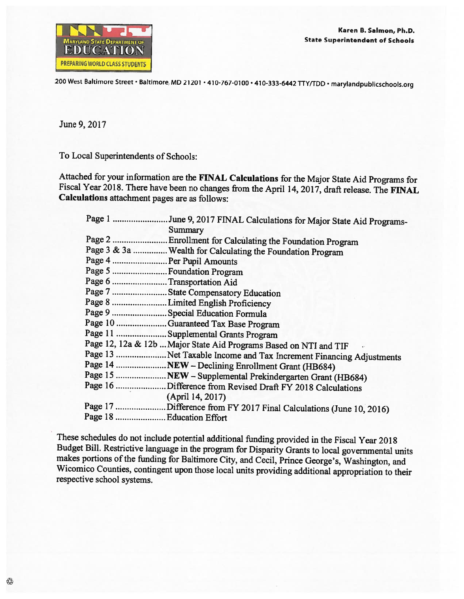

200 West Baltimore Street · Baltimore, MD 21201 · 410-767-0100 · 410-333-6442 TTY/TDD · marylandpublicschools.org

June 9, 2017

To Local Superintendents of Schools:

Attached for your information are the FINAL Calculations for the Major State Aid Programs for Fiscal Year 2018. There have been no changes from the April 14, 2017, draft release. The FINAL **Calculations** attachment pages are as follows:

|                            | Page 1 June 9, 2017 FINAL Calculations for Major State Aid Programs- |
|----------------------------|----------------------------------------------------------------------|
|                            | Summary                                                              |
|                            | Page 2  Enrollment for Calculating the Foundation Program            |
|                            | Page 3 & 3a  Wealth for Calculating the Foundation Program           |
| Page 4  Per Pupil Amounts  |                                                                      |
| Page 5  Foundation Program |                                                                      |
| Page 6 Transportation Aid  |                                                                      |
|                            | Page 7 State Compensatory Education                                  |
|                            | Page 8 Limited English Proficiency                                   |
|                            | Page 9  Special Education Formula                                    |
|                            | Page 10 Guaranteed Tax Base Program                                  |
|                            | Page 11  Supplemental Grants Program                                 |
|                            | Page 12, 12a & 12b  Major State Aid Programs Based on NTI and TIF    |
|                            | Page 13 Net Taxable Income and Tax Increment Financing Adjustments   |
|                            | Page 14 NEW - Declining Enrollment Grant (HB684)                     |
|                            | Page 15  NEW - Supplemental Prekindergarten Grant (HB684)            |
|                            | Page 16 Difference from Revised Draft FY 2018 Calculations           |
|                            | (April 14, 2017)                                                     |
|                            | Page 17 Difference from FY 2017 Final Calculations (June 10, 2016)   |
| Page 18 Education Effort   |                                                                      |

These schedules do not include potential additional funding provided in the Fiscal Year 2018 Budget Bill. Restrictive language in the program for Disparity Grants to local governmental units makes portions of the funding for Baltimore City, and Cecil, Prince George's, Washington, and Wicomico Counties, contingent upon those local units providing additional appropriation to their respective school systems.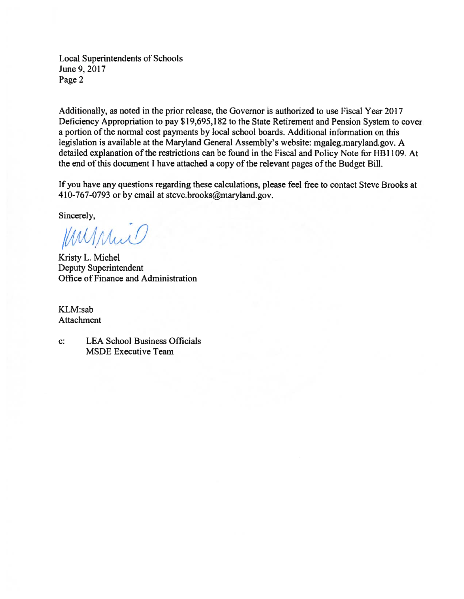**Local Superintendents of Schools** June 9, 2017 Page 2

Additionally, as noted in the prior release, the Governor is authorized to use Fiscal Year 2017 Deficiency Appropriation to pay \$19,695,182 to the State Retirement and Pension System to cover a portion of the normal cost payments by local school boards. Additional information on this legislation is available at the Maryland General Assembly's website: mgaleg.maryland.gov. A detailed explanation of the restrictions can be found in the Fiscal and Policy Note for HB1109. At the end of this document I have attached a copy of the relevant pages of the Budget Bill.

If you have any questions regarding these calculations, please feel free to contact Steve Brooks at 410-767-0793 or by email at steve.brooks@maryland.gov.

Sincerely,

Mussic

Kristy L. Michel Deputy Superintendent Office of Finance and Administration

KLM:sab Attachment

**LEA School Business Officials**  $\mathbf{c}$ : **MSDE Executive Team**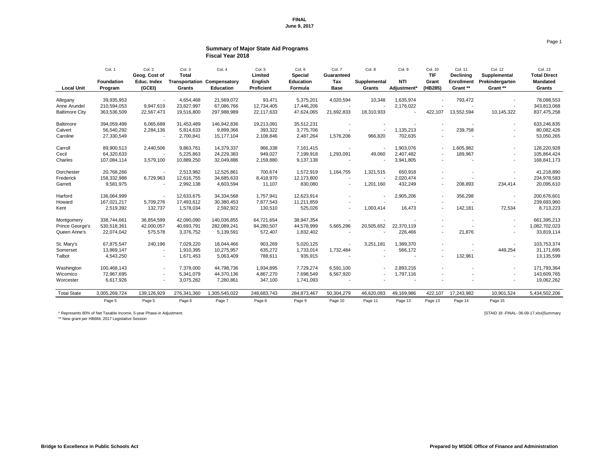## **Summary of Major State Aid Programs Fiscal Year 2018**

|                        | Col. 1<br><b>Foundation</b> | Col. 2<br>Geog. Cost of<br><b>Educ. Index</b> | Col. 3<br><b>Total</b><br><b>Transportation</b> | Col. 4<br>Compensatory | Col. 5<br><b>Limited</b><br><b>English</b> | Col. 6<br><b>Special</b><br><b>Education</b> | Col. 7<br><b>Guaranteed</b><br><b>Tax</b> | Col. 8<br>Supplemental | Col. 9<br><b>NTI</b>    | <b>Col. 10</b><br><b>TIF</b><br><b>Grant</b> | <b>Col. 11</b><br><b>Declining</b><br><b>Enrollment</b> | Col. 12<br>Supplemental<br>Prekindergarten | <b>Col. 13</b><br><b>Total Direct</b><br><b>Mandated</b> |
|------------------------|-----------------------------|-----------------------------------------------|-------------------------------------------------|------------------------|--------------------------------------------|----------------------------------------------|-------------------------------------------|------------------------|-------------------------|----------------------------------------------|---------------------------------------------------------|--------------------------------------------|----------------------------------------------------------|
| <b>Local Unit</b>      | Program                     | (GCEI)                                        | <b>Grants</b>                                   | <b>Education</b>       | <b>Proficient</b>                          | Formula                                      | <b>Base</b>                               | <b>Grants</b>          | Adjustment <sup>*</sup> | (HB285)                                      | Grant **                                                | Grant **                                   | <b>Grants</b>                                            |
| Allegany               | 39,935,953                  |                                               | 4,654,468                                       | 21,569,072             | 93,471                                     | 5,375,201                                    | 4,020,594                                 | 10,348                 | 1,635,974               |                                              | 793,472                                                 |                                            | 78,088,553                                               |
| Anne Arundel           | 210,594,053                 | 9,947,619                                     | 23,827,997                                      | 67,086,766             | 12,734,405                                 | 17,446,206                                   |                                           |                        | 2,176,022               |                                              |                                                         |                                            | 343,813,068                                              |
| <b>Baltimore City</b>  | 363,536,509                 | 22,567,473                                    | 19,516,800                                      | 297,988,989            | 22,117,633                                 | 47,624,065                                   | 21,692,833                                | 18,310,933             |                         | 422,107                                      | 13,552,594                                              | 10,145,322                                 | 837,475,258                                              |
| <b>Baltimore</b>       | 394,059,499                 | 6,065,689                                     | 31,453,489                                      | 146,942,836            | 19,213,091                                 | 35,512,231                                   |                                           |                        |                         |                                              |                                                         | $\overline{\phantom{0}}$                   | 633,246,835                                              |
| Calvert                | 56,540,292                  | 2,284,136                                     | 5,814,633                                       | 9,899,366              | 393,322                                    | 3,775,706                                    |                                           | $\sim$                 | 1,135,213               |                                              | 239,758                                                 | $\blacksquare$                             | 80,082,426                                               |
| Caroline               | 27,330,549                  |                                               | 2,700,841                                       | 15,177,104             | 2,108,846                                  | 2,487,264                                    | 1,576,206                                 | 966,820                | 702,635                 |                                              |                                                         |                                            | 53,050,265                                               |
| Carroll                | 89,900,513                  | 2,440,506                                     | 9,863,761                                       | 14,379,337             | 966,338                                    | 7,161,415                                    |                                           |                        | 1,903,076               |                                              | 1,605,982                                               | $\sim$                                     | 128,220,928                                              |
| Cecil                  | 64,320,633                  |                                               | 5,225,863                                       | 24,229,383             | 949,027                                    | 7,199,918                                    | 1,293,091                                 | 49,060                 | 2,407,482               |                                              | 189,967                                                 | $\blacksquare$                             | 105,864,424                                              |
| Charles                | 107,084,114                 | 3,579,100                                     | 10,889,250                                      | 32,049,886             | 2,159,880                                  | 9,137,138                                    |                                           |                        | 3,941,805               |                                              |                                                         |                                            | 168,841,173                                              |
| Dorchester             | 20,768,266                  |                                               | 2,513,982                                       | 12,525,861             | 700,674                                    | 1,572,919                                    | 1,164,755                                 | 1,321,515              | 650,918                 |                                              |                                                         |                                            | 41,218,890                                               |
| Frederick              | 158,332,988                 | 6,729,963                                     | 12,616,755                                      | 34,685,633             | 8,418,970                                  | 12,173,800                                   | $\blacksquare$                            |                        | 2,020,474               |                                              |                                                         | $\overline{\phantom{a}}$                   | 234,978,583                                              |
| Garrett                | 9,581,975                   |                                               | 2,992,138                                       | 4,603,594              | 11,107                                     | 830,080                                      |                                           | 1,201,160              | 432,249                 |                                              | 208,893                                                 | 234,414                                    | 20,095,610                                               |
| Harford                | 136,064,999                 |                                               | 12,633,675                                      | 34,334,568             | 1,757,941                                  | 12,623,914                                   |                                           | $\sim$                 | 2,905,206               | $\sim$                                       | 356,298                                                 | $\sim$                                     | 200,676,601                                              |
| Howard                 | 167,021,217                 | 5,709,276                                     | 17,493,612                                      | 30,380,453             | 7,877,543                                  | 11,211,859                                   |                                           |                        |                         |                                              |                                                         | $\sim$                                     | 239,693,960                                              |
| Kent                   | 2,519,392                   | 132,737                                       | 1,578,034                                       | 2,592,922              | 130,510                                    | 525,026                                      | $\sim$                                    | 1,003,414              | 16,473                  |                                              | 142,181                                                 | 72,534                                     | 8,713,223                                                |
| Montgomery             | 338,744,661                 | 36,854,599                                    | 42,090,090                                      | 140,036,855            | 64,721,654                                 | 38,947,354                                   |                                           |                        |                         |                                              |                                                         |                                            | 661,395,213                                              |
| <b>Prince George's</b> | 530,518,361                 | 42,000,057                                    | 40,693,791                                      | 282,089,241            | 94,280,507                                 | 44,578,999                                   | 5,665,296                                 | 20,505,652             | 22,370,119              |                                              |                                                         | $\sim$                                     | 1,082,702,023                                            |
| Queen Anne's           | 22,074,042                  | 575,578                                       | 3,376,752                                       | 5,139,591              | 572,407                                    | 1,832,402                                    |                                           |                        | 226,466                 |                                              | 21,876                                                  |                                            | 33,819,114                                               |
| St. Mary's             | 67,875,547                  | 240,196                                       | 7,029,220                                       | 18,044,466             | 903,269                                    | 5,020,125                                    |                                           | 3,251,181              | 1,389,370               |                                              |                                                         |                                            | 103,753,374                                              |
| Somerset               | 13,869,147                  |                                               | 1,910,395                                       | 10,275,957             | 635,272                                    | 1,733,014                                    | 1,732,484                                 |                        | 566,172                 |                                              | $\blacksquare$                                          | 449,254                                    | 31,171,695                                               |
| Talbot                 | 4,543,250                   | $\blacksquare$                                | 1,671,453                                       | 5,063,409              | 788,611                                    | 935,915                                      |                                           | $\sim$                 | $\sim$                  | $\sim$                                       | 132,961                                                 | $\sim$                                     | 13,135,599                                               |
| Washington             | 100,468,143                 |                                               | 7,378,000                                       | 44,798,736             | 1,934,895                                  | 7,729,274                                    | 6,591,100                                 |                        | 2,893,216               |                                              |                                                         | $\sim$                                     | 171,793,364                                              |
| Wicomico               | 72,967,695                  | $\blacksquare$                                | 5,341,079                                       | 44,370,136             | 4,867,270                                  | 7,698,549                                    | 6,567,920                                 |                        | 1,797,116               |                                              |                                                         | $\sim$                                     | 143,609,765                                              |
| Worcester              | 6,617,926                   | $\blacksquare$                                | 3,075,282                                       | 7,280,861              | 347,100                                    | 1,741,093                                    |                                           | $\sim$                 | $\sim$                  | $\sim$                                       | $\overline{\phantom{a}}$                                | $\sim$                                     | 19,062,262                                               |
| <b>Total State</b>     | 3,005,269,724               | 139,126,929                                   | 276,341,360                                     | 1,305,545,022          | 248,683,743                                | 284,873,467                                  | 50,304,279                                | 46,620,083             | 49,169,986              | 422,107                                      | 17,243,982                                              | 10,901,524                                 | 5,434,502,206                                            |
|                        | Page 5                      | Page 5                                        | Page 6                                          | Page 7                 | Page 8                                     | Page 9                                       | Page 10                                   | Page 11                | Page 13                 | Page 13                                      | Page 14                                                 | Page 15                                    |                                                          |

\* Represents 80% of Net Taxable Income, 5-year Phase-in Adjustment. [STAID 18 -FINAL- 06-09-17.xlsx]Summary

\*\* New grant per HB684, 2017 Legislative Session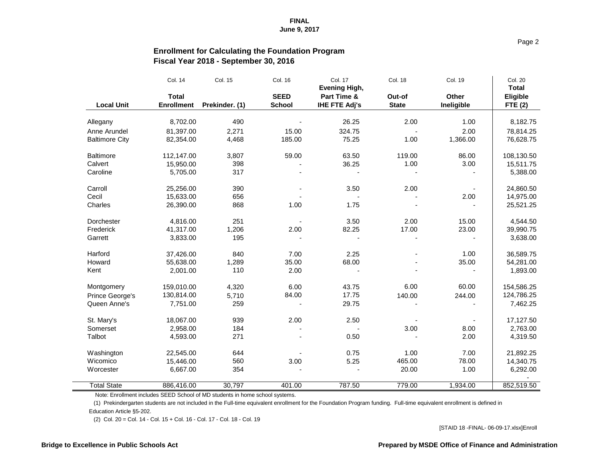## **Enrollment for Calculating the Foundation Program Fiscal Year 2018 - September 30, 2016**

|                        | Col. 14                           | Col. 15        | Col. 16                      | <b>Col. 17</b><br><b>Evening High,</b> | <b>Col. 18</b>         | <b>Col. 19</b>             | <b>Col. 20</b><br><b>Total</b>    |
|------------------------|-----------------------------------|----------------|------------------------------|----------------------------------------|------------------------|----------------------------|-----------------------------------|
| <b>Local Unit</b>      | <b>Total</b><br><b>Enrollment</b> | Prekinder. (1) | <b>SEED</b><br><b>School</b> | Part Time &<br><b>IHE FTE Adj's</b>    | Out-of<br><b>State</b> | <b>Other</b><br>Ineligible | <b>Eligible</b><br><b>FTE (2)</b> |
| Allegany               | 8,702.00                          | 490            |                              | 26.25                                  | 2.00                   | 1.00                       | 8,182.75                          |
| Anne Arundel           | 81,397.00                         |                | 15.00                        | 324.75                                 |                        | 2.00                       |                                   |
| <b>Baltimore City</b>  | 82,354.00                         | 2,271<br>4,468 | 185.00                       | 75.25                                  | 1.00                   | 1,366.00                   | 78,814.25<br>76,628.75            |
|                        |                                   |                |                              |                                        |                        |                            |                                   |
| <b>Baltimore</b>       | 112,147.00                        | 3,807          | 59.00                        | 63.50                                  | 119.00                 | 86.00                      | 108,130.50                        |
| Calvert                | 15,950.00                         | 398            |                              | 36.25                                  | 1.00                   | 3.00                       | 15,511.75                         |
| Caroline               | 5,705.00                          | 317            |                              |                                        |                        |                            | 5,388.00                          |
| Carroll                | 25,256.00                         | 390            |                              | 3.50                                   | 2.00                   |                            | 24,860.50                         |
| Cecil                  | 15,633.00                         | 656            |                              |                                        |                        | 2.00                       | 14,975.00                         |
| Charles                | 26,390.00                         | 868            | 1.00                         | 1.75                                   |                        |                            | 25,521.25                         |
| Dorchester             | 4,816.00                          | 251            |                              | 3.50                                   | 2.00                   | 15.00                      | 4,544.50                          |
| Frederick              | 41,317.00                         | 1,206          | 2.00                         | 82.25                                  | 17.00                  | 23.00                      | 39,990.75                         |
| Garrett                | 3,833.00                          | 195            |                              |                                        |                        |                            | 3,638.00                          |
| Harford                | 37,426.00                         | 840            | 7.00                         | 2.25                                   |                        | 1.00                       | 36,589.75                         |
| Howard                 | 55,638.00                         | 1,289          | 35.00                        | 68.00                                  |                        | 35.00                      | 54,281.00                         |
| Kent                   | 2,001.00                          | 110            | 2.00                         |                                        |                        |                            | 1,893.00                          |
| Montgomery             | 159,010.00                        | 4,320          | 6.00                         | 43.75                                  | 6.00                   | 60.00                      | 154,586.25                        |
| <b>Prince George's</b> | 130,814.00                        | 5,710          | 84.00                        | 17.75                                  | 140.00                 | 244.00                     | 124,786.25                        |
| Queen Anne's           | 7,751.00                          | 259            |                              | 29.75                                  |                        |                            | 7,462.25                          |
| St. Mary's             | 18,067.00                         | 939            | 2.00                         | 2.50                                   |                        |                            | 17,127.50                         |
| Somerset               | 2,958.00                          | 184            |                              |                                        | 3.00                   | 8.00                       | 2,763.00                          |
| Talbot                 | 4,593.00                          | 271            |                              | 0.50                                   |                        | 2.00                       | 4,319.50                          |
| Washington             | 22,545.00                         | 644            |                              | 0.75                                   | 1.00                   | 7.00                       | 21,892.25                         |
| Wicomico               | 15,446.00                         | 560            | 3.00                         | 5.25                                   | 465.00                 | 78.00                      | 14,340.75                         |
| Worcester              | 6,667.00                          | 354            |                              |                                        | 20.00                  | 1.00                       | 6,292.00                          |
| <b>Total State</b>     | 886,416.00                        | 30,797         | 401.00                       | 787.50                                 | 779.00                 | 1,934.00                   | 852,519.50                        |

Note: Enrollment includes SEED School of MD students in home school systems.

 (1) Prekindergarten students are not included in the Full-time equivalent enrollment for the Foundation Program funding. Full-time equivalent enrollment is defined in Education Article §5-202.

(2) Col. 20 = Col. 14 - Col. 15 + Col. 16 - Col. 17 - Col. 18 - Col. 19

[STAID 18 -FINAL- 06-09-17.xlsx]Enroll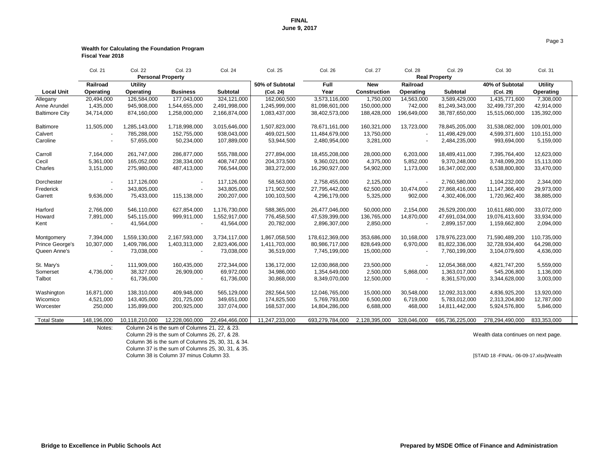| ) |  |  |  |
|---|--|--|--|
|   |  |  |  |

Column 29 is the sum of Columns 26, 27, & 28. Wealth data continues on next page.

Column 38 is Column 37 minus Column 33. **Exercise 2018** 18 -FINAL- 06-09-17.xlsx]Wealth

#### **Wealth for Calculating the Foundation Program Fiscal Year 2018**

|                       | <b>Col. 21</b>           | <b>Col. 22</b>           | <b>Col. 23</b>                                | <b>Col. 24</b>  | <b>Col. 25</b>  | <b>Col. 26</b>  | <b>Col. 27</b>      | <b>Col. 28</b>   | <b>Col. 29</b>       | Col. 30         | <b>Col. 31</b>   |  |
|-----------------------|--------------------------|--------------------------|-----------------------------------------------|-----------------|-----------------|-----------------|---------------------|------------------|----------------------|-----------------|------------------|--|
|                       |                          | <b>Personal Property</b> |                                               |                 |                 |                 |                     |                  | <b>Real Property</b> |                 |                  |  |
|                       | <b>Railroad</b>          | <b>Utility</b>           |                                               |                 | 50% of Subtotal | <b>Full</b>     | <b>New</b>          | Railroad         |                      | 40% of Subtotal | <b>Utility</b>   |  |
| <b>Local Unit</b>     | <b>Operating</b>         | <b>Operating</b>         | <b>Business</b>                               | <b>Subtotal</b> | (Col. 24)       | Year            | <b>Construction</b> | <b>Operating</b> | <b>Subtotal</b>      | (Col. 29)       | <b>Operating</b> |  |
| Allegany              | 20,494,000               | 126,584,000              | 177,043,000                                   | 324,121,000     | 162,060,500     | 3,573,116,000   | 1,750,000           | 14,563,000       | 3,589,429,000        | 1,435,771,600   | 7,308,000        |  |
| Anne Arundel          | 1,435,000                | 945,908,000              | 1,544,655,000                                 | 2,491,998,000   | 1,245,999,000   | 81,098,601,000  | 150,000,000         | 742,000          | 81,249,343,000       | 32,499,737,200  | 42,914,000       |  |
| <b>Baltimore City</b> | 34,714,000               | 874,160,000              | 1,258,000,000                                 | 2,166,874,000   | 1,083,437,000   | 38,402,573,000  | 188,428,000         | 196,649,000      | 38,787,650,000       | 15,515,060,000  | 135,392,000      |  |
| <b>Baltimore</b>      | 11,505,000               | 1,285,143,000            | 1,718,998,000                                 | 3,015,646,000   | 1,507,823,000   | 78,671,161,000  | 160,321,000         | 13,723,000       | 78,845,205,000       | 31,538,082,000  | 109,001,000      |  |
| Calvert               |                          | 785,288,000              | 152,755,000                                   | 938,043,000     | 469,021,500     | 11,484,679,000  | 13,750,000          |                  | 11,498,429,000       | 4,599,371,600   | 110,151,000      |  |
| Caroline              |                          | 57,655,000               | 50,234,000                                    | 107,889,000     | 53,944,500      | 2,480,954,000   | 3,281,000           |                  | 2,484,235,000        | 993,694,000     | 5,159,000        |  |
| Carroll               | 7,164,000                | 261,747,000              | 286,877,000                                   | 555,788,000     | 277,894,000     | 18,455,208,000  | 28,000,000          | 6,203,000        | 18,489,411,000       | 7,395,764,400   | 12,623,000       |  |
| Cecil                 | 5,361,000                | 165,052,000              | 238,334,000                                   | 408,747,000     | 204,373,500     | 9,360,021,000   | 4,375,000           | 5,852,000        | 9,370,248,000        | 3,748,099,200   | 15,113,000       |  |
| Charles               | 3,151,000                | 275,980,000              | 487,413,000                                   | 766,544,000     | 383,272,000     | 16,290,927,000  | 54,902,000          | 1,173,000        | 16,347,002,000       | 6,538,800,800   | 33,470,000       |  |
| Dorchester            |                          | 117,126,000              |                                               | 117,126,000     | 58,563,000      | 2,758,455,000   | 2,125,000           |                  | 2,760,580,000        | 1,104,232,000   | 2,344,000        |  |
| Frederick             |                          | 343,805,000              |                                               | 343,805,000     | 171,902,500     | 27,795,442,000  | 62,500,000          | 10,474,000       | 27,868,416,000       | 11,147,366,400  | 29,973,000       |  |
| Garrett               | 9,636,000                | 75,433,000               | 115,138,000                                   | 200, 207, 000   | 100,103,500     | 4,296,179,000   | 5,325,000           | 902,000          | 4,302,406,000        | 1,720,962,400   | 38,885,000       |  |
| Harford               | 2,766,000                | 546,110,000              | 627,854,000                                   | 1,176,730,000   | 588,365,000     | 26,477,046,000  | 50,000,000          | 2,154,000        | 26,529,200,000       | 10,611,680,000  | 33,072,000       |  |
| Howard                | 7,891,000                | 545,115,000              | 999,911,000                                   | 1,552,917,000   | 776,458,500     | 47,539,399,000  | 136,765,000         | 14,870,000       | 47,691,034,000       | 19,076,413,600  | 33,934,000       |  |
| Kent                  |                          | 41,564,000               |                                               | 41,564,000      | 20,782,000      | 2,896,307,000   | 2,850,000           |                  | 2,899,157,000        | 1,159,662,800   | 2,094,000        |  |
| Montgomery            | 7,394,000                | 1,559,130,000            | 2,167,593,000                                 | 3,734,117,000   | 1,867,058,500   | 178,612,369,000 | 353,686,000         | 10,168,000       | 178,976,223,000      | 71,590,489,200  | 110,735,000      |  |
| Prince George's       | 10,307,000               | 1,409,786,000            | 1,403,313,000                                 | 2,823,406,000   | 1,411,703,000   | 80,986,717,000  | 828,649,000         | 6,970,000        | 81,822,336,000       | 32,728,934,400  | 64,298,000       |  |
| Queen Anne's          | $\overline{\phantom{a}}$ | 73,038,000               |                                               | 73,038,000      | 36,519,000      | 7,745,199,000   | 15,000,000          |                  | 7,760,199,000        | 3,104,079,600   | 4,636,000        |  |
| St. Mary's            |                          | 111,909,000              | 160,435,000                                   | 272,344,000     | 136,172,000     | 12,030,868,000  | 23,500,000          |                  | 12,054,368,000       | 4,821,747,200   | 5,559,000        |  |
| Somerset              | 4,736,000                | 38,327,000               | 26,909,000                                    | 69,972,000      | 34,986,000      | 1,354,649,000   | 2,500,000           | 5,868,000        | 1,363,017,000        | 545,206,800     | 1,136,000        |  |
| Talbot                |                          | 61,736,000               |                                               | 61,736,000      | 30,868,000      | 8,349,070,000   | 12,500,000          |                  | 8,361,570,000        | 3,344,628,000   | 3,003,000        |  |
| Washington            | 16,871,000               | 138,310,000              | 409,948,000                                   | 565,129,000     | 282,564,500     | 12,046,765,000  | 15,000,000          | 30,548,000       | 12,092,313,000       | 4,836,925,200   | 13,920,000       |  |
| Wicomico              | 4,521,000                | 143,405,000              | 201,725,000                                   | 349,651,000     | 174,825,500     | 5,769,793,000   | 6,500,000           | 6,719,000        | 5,783,012,000        | 2,313,204,800   | 12,787,000       |  |
| Worcester             | 250,000                  | 135,899,000              | 200,925,000                                   | 337,074,000     | 168,537,000     | 14,804,286,000  | 6,688,000           | 468,000          | 14,811,442,000       | 5,924,576,800   | 5,846,000        |  |
| <b>Total State</b>    | 148,196,000              | 10,118,210,000           | 12,228,060,000                                | 22,494,466,000  | 11,247,233,000  | 693,279,784,000 | 2,128,395,000       | 328,046,000      | 695,736,225,000      | 278,294,490,000 | 833,353,000      |  |
|                       | Notes:                   |                          | Column 24 is the sum of Columns 21, 22, & 23. |                 |                 |                 |                     |                  |                      |                 |                  |  |

Column 36 is the sum of Columns 25, 30, 31, & 34.

Column 37 is the sum of Columns 25, 30, 31, & 35.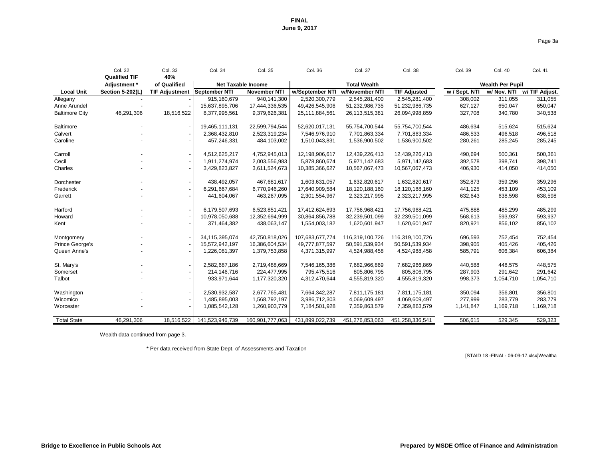**Bridge to Excellence in Public Schools Act Prepared by MSDE Office of Finance and Administration**

|               | Wealth Per Pupil |                      |
|---------------|------------------|----------------------|
| w / Sept. NTI | w/ Nov. NTI      | w/ TIF Adjust.       |
| 308,002       | 311,055          | 311,055              |
| 627,127       | 650,047          | 650,047              |
| 327,708       | 340,780          | 340,538              |
|               |                  |                      |
| 486,634       | 515,624          | 515,624              |
| 486,533       | 496,518          | 496,518              |
| 280,261       | 285,245          | 285,245              |
|               |                  |                      |
| 490,694       | 500,361          | 500,361              |
| 392,578       | 398,741          | 398,741              |
| 406,930       | 414,050          | 414,050              |
| 352,873       | 359,296          | 359,296              |
| 441,125       | 453,109          | 453,109              |
| 632,643       | 638,598          | 638,598              |
|               |                  |                      |
| 475,888       | 485,299          | 485,299              |
| 568,613       | 593,937          | 593,937              |
| 820,921       | 856,102          | 856,102              |
|               |                  |                      |
| 696,593       | 752,454          | 752,454              |
| 398,905       | 405,426          | 405,426              |
| 585,791       | 606,384          | 606,384              |
|               |                  |                      |
| 440,588       | 448,575          | 448,575              |
| 287,903       | 291,642          | 291,642<br>1,054,710 |
| 998,373       | 1,054,710        |                      |
| 350,094       | 356,801          | 356,801              |
| 277,999       | 283,779          | 283,779              |
| 1,141,847     | 1,169,718        | 1,169,718            |
|               |                  |                      |
| 506 615       | 529 345          | 520 323              |

|                       | <b>Col. 32</b><br><b>Qualified TIF</b> | Col. 33<br>40%           | Col. 34         | Col. 35                   | Col. 36         | <b>Col. 37</b>      | <b>Col. 38</b>      | Col. 39       | Col. 40                 | <b>Col. 41</b> |
|-----------------------|----------------------------------------|--------------------------|-----------------|---------------------------|-----------------|---------------------|---------------------|---------------|-------------------------|----------------|
|                       | Adjustment *                           | of Qualified             |                 | <b>Net Taxable Income</b> |                 | <b>Total Wealth</b> |                     |               | <b>Wealth Per Pupil</b> |                |
| <b>Local Unit</b>     | <b>Section 5-202(L)</b>                | <b>TIF Adjustment</b>    | September NTI   | <b>November NTI</b>       | w/September NTI | w/November NTI      | <b>TIF Adjusted</b> | w / Sept. NTI | w/ Nov. NTI             | w/ TIF Adjust. |
| Allegany              |                                        |                          | 915,160,679     | 940,141,300               | 2,520,300,779   | 2,545,281,400       | 2,545,281,400       | 308,002       | 311,055                 | 311,055        |
| Anne Arundel          |                                        |                          | 15,637,895,706  | 17,444,336,535            | 49,426,545,906  | 51,232,986,735      | 51,232,986,735      | 627,127       | 650,047                 | 650,047        |
| <b>Baltimore City</b> | 46,291,306                             | 18,516,522               | 8,377,995,561   | 9,379,626,381             | 25,111,884,561  | 26, 113, 515, 381   | 26,094,998,859      | 327,708       | 340,780                 | 340,538        |
| <b>Baltimore</b>      |                                        |                          | 19,465,111,131  | 22,599,794,544            | 52,620,017,131  | 55,754,700,544      | 55,754,700,544      | 486,634       | 515,624                 | 515,624        |
| Calvert               |                                        |                          | 2,368,432,810   | 2,523,319,234             | 7,546,976,910   | 7,701,863,334       | 7,701,863,334       | 486,533       | 496,518                 | 496,518        |
| Caroline              |                                        |                          | 457,246,331     | 484,103,002               | 1,510,043,831   | 1,536,900,502       | 1,536,900,502       | 280,261       | 285,245                 | 285,245        |
| Carroll               |                                        | $\overline{\phantom{a}}$ | 4,512,625,217   | 4,752,945,013             | 12,198,906,617  | 12,439,226,413      | 12,439,226,413      | 490,694       | 500,361                 | 500,361        |
| Cecil                 |                                        |                          | 1,911,274,974   | 2,003,556,983             | 5,878,860,674   | 5,971,142,683       | 5,971,142,683       | 392,578       | 398,741                 | 398,741        |
| Charles               |                                        |                          | 3,429,823,827   | 3,611,524,673             | 10,385,366,627  | 10,567,067,473      | 10,567,067,473      | 406,930       | 414,050                 | 414,050        |
| Dorchester            |                                        |                          | 438,492,057     | 467,681,617               | 1,603,631,057   | 1,632,820,617       | 1,632,820,617       | 352,873       | 359,296                 | 359,296        |
| Frederick             |                                        |                          | 6,291,667,684   | 6,770,946,260             | 17,640,909,584  | 18,120,188,160      | 18,120,188,160      | 441,125       | 453,109                 | 453,109        |
| Garrett               |                                        |                          | 441,604,067     | 463,267,095               | 2,301,554,967   | 2,323,217,995       | 2,323,217,995       | 632,643       | 638,598                 | 638,598        |
| Harford               |                                        |                          | 6,179,507,693   | 6,523,851,421             | 17,412,624,693  | 17,756,968,421      | 17,756,968,421      | 475,888       | 485,299                 | 485,299        |
| Howard                |                                        |                          | 10,978,050,688  | 12,352,694,999            | 30,864,856,788  | 32,239,501,099      | 32,239,501,099      | 568,613       | 593,937                 | 593,937        |
| Kent                  |                                        |                          | 371,464,382     | 438,063,147               | 1,554,003,182   | 1,620,601,947       | 1,620,601,947       | 820,921       | 856,102                 | 856,102        |
| Montgomery            |                                        |                          | 34,115,395,074  | 42,750,818,026            | 107,683,677,774 | 116,319,100,726     | 116,319,100,726     | 696,593       | 752,454                 | 752,454        |
| Prince George's       |                                        |                          | 15,572,942,197  | 16,386,604,534            | 49,777,877,597  | 50,591,539,934      | 50,591,539,934      | 398,905       | 405,426                 | 405,426        |
| Queen Anne's          |                                        |                          | 1,226,081,397   | 1,379,753,858             | 4,371,315,997   | 4,524,988,458       | 4,524,988,458       | 585,791       | 606,384                 | 606,384        |
| St. Mary's            |                                        |                          | 2,582,687,186   | 2,719,488,669             | 7,546,165,386   | 7,682,966,869       | 7,682,966,869       | 440,588       | 448,575                 | 448,575        |
| Somerset              |                                        |                          | 214,146,716     | 224,477,995               | 795,475,516     | 805,806,795         | 805,806,795         | 287,903       | 291,642                 | 291,642        |
| Talbot                |                                        |                          | 933,971,644     | 1,177,320,320             | 4,312,470,644   | 4,555,819,320       | 4,555,819,320       | 998,373       | 1,054,710               | 1,054,710      |
| Washington            |                                        |                          | 2,530,932,587   | 2,677,765,481             | 7,664,342,287   | 7,811,175,181       | 7,811,175,181       | 350,094       | 356,801                 | 356,801        |
| Wicomico              |                                        |                          | 1,485,895,003   | 1,568,792,197             | 3,986,712,303   | 4,069,609,497       | 4,069,609,497       | 277,999       | 283,779                 | 283,779        |
| Worcester             |                                        |                          | 1,085,542,128   | 1,260,903,779             | 7,184,501,928   | 7,359,863,579       | 7,359,863,579       | 1,141,847     | 1,169,718               | 1,169,718      |
| <b>Total State</b>    | 46,291,306                             | 18,516,522               | 141,523,946,739 | 160,901,777,063           | 431,899,022,739 | 451,276,853,063     | 451,258,336,541     | 506,615       | 529,345                 | 529,323        |

Wealth data continued from page 3.

\* Per data received from State Dept. of Assessments and Taxation

[STAID 18 -FINAL- 06-09-17.xlsx]Wealtha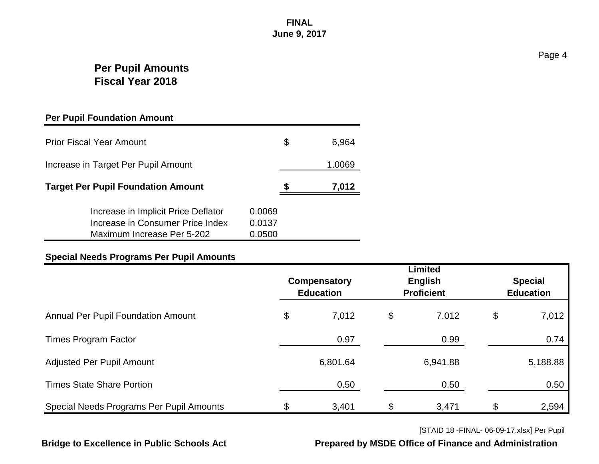## **Per Pupil Amounts Fiscal Year 2018**

#### **Per Pupil Foundation Amount**

| <b>Prior Fiscal Year Amount</b>                                                                       | S                          | 6,964 |        |
|-------------------------------------------------------------------------------------------------------|----------------------------|-------|--------|
| Increase in Target Per Pupil Amount                                                                   |                            |       | 1.0069 |
| <b>Target Per Pupil Foundation Amount</b>                                                             |                            | 7,012 |        |
| Increase in Implicit Price Deflator<br>Increase in Consumer Price Index<br>Maximum Increase Per 5-202 | 0.0069<br>0.0137<br>0.0500 |       |        |

#### **Special Needs Programs Per Pupil Amounts**

|                                           | Compensatory<br><b>Education</b> | <b>Limited</b><br>English<br><b>Proficient</b> | <b>Special</b><br><b>Education</b> |  |
|-------------------------------------------|----------------------------------|------------------------------------------------|------------------------------------|--|
| <b>Annual Per Pupil Foundation Amount</b> | \$<br>7,012                      | \$<br>7,012                                    | \$<br>7,012                        |  |
| <b>Times Program Factor</b>               | 0.97                             | 0.99                                           | 0.74                               |  |
| <b>Adjusted Per Pupil Amount</b>          | 6,801.64                         | 6,941.88                                       | 5,188.88                           |  |
| <b>Times State Share Portion</b>          | 0.50                             | 0.50                                           | 0.50                               |  |
| Special Needs Programs Per Pupil Amounts  | \$<br>3,401                      | \$<br>3,471                                    | \$<br>2,594                        |  |

[STAID 18 -FINAL- 06-09-17.xlsx] Per Pupil

**Bridge to Excellence in Public Schools Act Prepared by MSDE Office of Finance and Administration**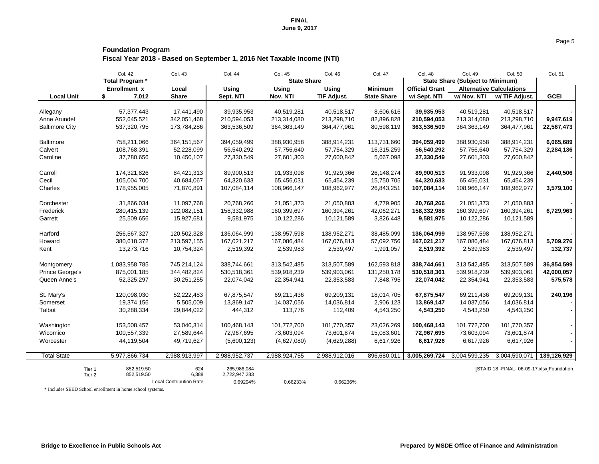## **Foundation Program Fiscal Year 2018 - Based on September 1, 2016 Net Taxable Income (NTI)**

|                        | Col. 42             | <b>Col. 43</b>                 | <b>Col. 44</b> | Col. 45            | Col. 46            | Col. 47            | <b>Col. 48</b>        | <b>Col. 49</b>                          | Col. 50                                       | <b>Col. 51</b> |
|------------------------|---------------------|--------------------------------|----------------|--------------------|--------------------|--------------------|-----------------------|-----------------------------------------|-----------------------------------------------|----------------|
|                        | Total Program *     |                                |                | <b>State Share</b> |                    |                    |                       | <b>State Share (Subject to Minimum)</b> |                                               |                |
|                        | <b>Enrollment x</b> | Local                          | <b>Using</b>   | <b>Using</b>       | <b>Using</b>       | <b>Minimum</b>     | <b>Official Grant</b> |                                         | <b>Alternative Calculations</b>               |                |
| <b>Local Unit</b>      | \$<br>7,012         | <b>Share</b>                   | Sept. NTI      | Nov. NTI           | <b>TIF Adjust.</b> | <b>State Share</b> | w/ Sept. NTI          | w/ Nov. NTI                             | w/ TIF Adjust.                                | <b>GCEI</b>    |
|                        |                     |                                |                |                    |                    |                    |                       |                                         |                                               |                |
| Allegany               | 57,377,443          | 17,441,490                     | 39,935,953     | 40,519,281         | 40,518,517         | 8,606,616          | 39,935,953            | 40,519,281                              | 40,518,517                                    |                |
| Anne Arundel           | 552,645,521         | 342,051,468                    | 210,594,053    | 213,314,080        | 213,298,710        | 82,896,828         | 210,594,053           | 213,314,080                             | 213,298,710                                   | 9,947,619      |
| <b>Baltimore City</b>  | 537,320,795         | 173,784,286                    | 363,536,509    | 364, 363, 149      | 364,477,961        | 80,598,119         | 363,536,509           | 364, 363, 149                           | 364,477,961                                   | 22,567,473     |
| <b>Baltimore</b>       | 758,211,066         | 364, 151, 567                  | 394,059,499    | 388,930,958        | 388,914,231        | 113,731,660        | 394,059,499           | 388,930,958                             | 388,914,231                                   | 6,065,689      |
| Calvert                | 108,768,391         | 52,228,099                     | 56,540,292     | 57,756,640         | 57,754,329         | 16,315,259         | 56,540,292            | 57,756,640                              | 57,754,329                                    | 2,284,136      |
| Caroline               | 37,780,656          | 10,450,107                     | 27,330,549     | 27,601,303         | 27,600,842         | 5,667,098          | 27,330,549            | 27,601,303                              | 27,600,842                                    |                |
| Carroll                | 174,321,826         | 84,421,313                     | 89,900,513     | 91,933,098         | 91,929,366         | 26, 148, 274       | 89,900,513            | 91,933,098                              | 91,929,366                                    | 2,440,506      |
| Cecil                  | 105,004,700         | 40,684,067                     | 64,320,633     | 65,456,031         | 65,454,239         | 15,750,705         | 64,320,633            | 65,456,031                              | 65,454,239                                    |                |
| Charles                | 178,955,005         | 71,870,891                     | 107,084,114    | 108,966,147        | 108,962,977        | 26,843,251         | 107,084,114           | 108,966,147                             | 108,962,977                                   | 3,579,100      |
| Dorchester             | 31,866,034          | 11,097,768                     | 20,768,266     | 21,051,373         | 21,050,883         | 4,779,905          | 20,768,266            | 21,051,373                              | 21,050,883                                    |                |
| Frederick              | 280,415,139         | 122,082,151                    | 158,332,988    | 160,399,697        | 160,394,261        | 42,062,271         | 158,332,988           | 160,399,697                             | 160,394,261                                   | 6,729,963      |
| Garrett                | 25,509,656          | 15,927,681                     | 9,581,975      | 10,122,286         | 10,121,589         | 3,826,448          | 9,581,975             | 10,122,286                              | 10,121,589                                    |                |
| Harford                | 256,567,327         | 120,502,328                    | 136,064,999    | 138,957,598        | 138,952,271        | 38,485,099         | 136,064,999           | 138,957,598                             | 138,952,271                                   |                |
| Howard                 | 380,618,372         | 213,597,155                    | 167,021,217    | 167,086,484        | 167,076,813        | 57,092,756         | 167,021,217           | 167,086,484                             | 167,076,813                                   | 5,709,276      |
| Kent                   | 13,273,716          | 10,754,324                     | 2,519,392      | 2,539,983          | 2,539,497          | 1,991,057          | 2,519,392             | 2,539,983                               | 2,539,497                                     | 132,737        |
| Montgomery             | 1,083,958,785       | 745,214,124                    | 338,744,661    | 313,542,485        | 313,507,589        | 162,593,818        | 338,744,661           | 313,542,485                             | 313,507,589                                   | 36,854,599     |
| <b>Prince George's</b> | 875,001,185         | 344,482,824                    | 530,518,361    | 539,918,239        | 539,903,061        | 131,250,178        | 530,518,361           | 539,918,239                             | 539,903,061                                   | 42,000,057     |
| Queen Anne's           | 52,325,297          | 30,251,255                     | 22,074,042     | 22,354,941         | 22,353,583         | 7,848,795          | 22,074,042            | 22,354,941                              | 22,353,583                                    | 575,578        |
| St. Mary's             | 120,098,030         | 52,222,483                     | 67,875,547     | 69,211,436         | 69,209,131         | 18,014,705         | 67,875,547            | 69,211,436                              | 69,209,131                                    | 240,196        |
| Somerset               | 19,374,156          | 5,505,009                      | 13,869,147     | 14,037,056         | 14,036,814         | 2,906,123          | 13,869,147            | 14,037,056                              | 14,036,814                                    |                |
| Talbot                 | 30,288,334          | 29,844,022                     | 444,312        | 113,776            | 112,409            | 4,543,250          | 4,543,250             | 4,543,250                               | 4,543,250                                     | $\sim$         |
| Washington             | 153,508,457         | 53,040,314                     | 100,468,143    | 101,772,700        | 101,770,357        | 23,026,269         | 100,468,143           | 101,772,700                             | 101,770,357                                   | $\blacksquare$ |
| Wicomico               | 100,557,339         | 27,589,644                     | 72,967,695     | 73,603,094         | 73,601,874         | 15,083,601         | 72,967,695            | 73,603,094                              | 73,601,874                                    |                |
| Worcester              | 44,119,504          | 49,719,627                     | (5,600,123)    | (4,627,080)        | (4,629,288)        | 6,617,926          | 6,617,926             | 6,617,926                               | 6,617,926                                     |                |
| <b>Total State</b>     | 5,977,866,734       | 2,988,913,997                  | 2,988,952,737  | 2,988,924,755      | 2,988,912,016      | 896,680,011        | 3,005,269,724         | 3,004,599,235                           | 3,004,590,071                                 | 139,126,929    |
| Tier 1                 | 852,519.50          | 624                            | 265,986,084    |                    |                    |                    |                       |                                         | [STAID 18 - FINAL - 06-09-17.xlsx] Foundation |                |
| Tier 2                 | 852,519.50          | 6,388                          | 2,722,947,283  |                    |                    |                    |                       |                                         |                                               |                |
|                        |                     | <b>Local Contribution Rate</b> | 0.69204%       | 0.66233%           | 0.66236%           |                    |                       |                                         |                                               |                |

\* Includes SEED School enrollment in home school systems.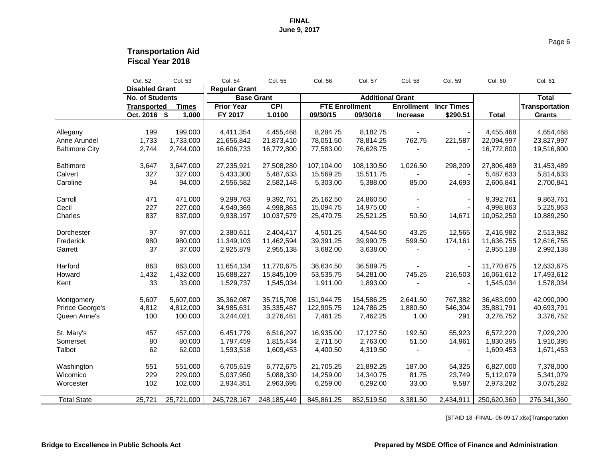## **Transportation Aid Fiscal Year 2018**

|                        | Col. 52                | Col. 53      | Col. 54              | Col. 55       | Col. 56    | Col. 57                 | Col. 58           | Col. 59           | Col. 60      | Col. 61               |
|------------------------|------------------------|--------------|----------------------|---------------|------------|-------------------------|-------------------|-------------------|--------------|-----------------------|
|                        | <b>Disabled Grant</b>  |              | <b>Regular Grant</b> |               |            |                         |                   |                   |              |                       |
|                        | <b>No. of Students</b> |              | <b>Base Grant</b>    |               |            | <b>Additional Grant</b> | <b>Enrollment</b> |                   |              | <b>Total</b>          |
|                        | <b>Transported</b>     | <b>Times</b> | <b>Prior Year</b>    | <b>CPI</b>    |            | <b>FTE Enrollment</b>   |                   | <b>Incr Times</b> |              | <b>Transportation</b> |
|                        | Oct. 2016 \$           | 1,000        | FY 2017              | 1.0100        | 09/30/15   | 09/30/16                | <b>Increase</b>   | \$290.51          | <b>Total</b> | <b>Grants</b>         |
|                        |                        |              |                      |               |            |                         |                   |                   |              |                       |
| Allegany               | 199                    | 199,000      | 4,411,354            | 4,455,468     | 8,284.75   | 8,182.75                |                   |                   | 4,455,468    | 4,654,468             |
| Anne Arundel           | 1,733                  | 1,733,000    | 21,656,842           | 21,873,410    | 78,051.50  | 78,814.25               | 762.75            | 221,587           | 22,094,997   | 23,827,997            |
| <b>Baltimore City</b>  | 2,744                  | 2,744,000    | 16,606,733           | 16,772,800    | 77,583.00  | 76,628.75               |                   |                   | 16,772,800   | 19,516,800            |
| <b>Baltimore</b>       | 3,647                  | 3,647,000    | 27,235,921           | 27,508,280    | 107,104.00 | 108,130.50              | 1,026.50          | 298,209           | 27,806,489   | 31,453,489            |
| Calvert                | 327                    | 327,000      | 5,433,300            | 5,487,633     | 15,569.25  | 15,511.75               |                   |                   | 5,487,633    | 5,814,633             |
| Caroline               | 94                     | 94,000       | 2,556,582            | 2,582,148     | 5,303.00   | 5,388.00                | 85.00             | 24,693            | 2,606,841    | 2,700,841             |
| Carroll                | 471                    | 471,000      | 9,299,763            | 9,392,761     | 25,162.50  | 24,860.50               |                   |                   | 9,392,761    | 9,863,761             |
| Cecil                  | 227                    | 227,000      | 4,949,369            | 4,998,863     | 15,094.75  | 14,975.00               |                   |                   | 4,998,863    | 5,225,863             |
| Charles                | 837                    | 837,000      | 9,938,197            | 10,037,579    | 25,470.75  | 25,521.25               | 50.50             | 14,671            | 10,052,250   | 10,889,250            |
|                        |                        |              |                      |               |            |                         |                   |                   |              |                       |
| Dorchester             | 97                     | 97,000       | 2,380,611            | 2,404,417     | 4,501.25   | 4,544.50                | 43.25             | 12,565            | 2,416,982    | 2,513,982             |
| Frederick              | 980                    | 980,000      | 11,349,103           | 11,462,594    | 39,391.25  | 39,990.75               | 599.50            | 174,161           | 11,636,755   | 12,616,755            |
| Garrett                | 37                     | 37,000       | 2,925,879            | 2,955,138     | 3,682.00   | 3,638.00                |                   |                   | 2,955,138    | 2,992,138             |
| Harford                | 863                    | 863,000      | 11,654,134           | 11,770,675    | 36,634.50  | 36,589.75               |                   |                   | 11,770,675   | 12,633,675            |
| Howard                 | 1,432                  | 1,432,000    | 15,688,227           | 15,845,109    | 53,535.75  | 54,281.00               | 745.25            | 216,503           | 16,061,612   | 17,493,612            |
| Kent                   | 33                     | 33,000       | 1,529,737            | 1,545,034     | 1,911.00   | 1,893.00                |                   |                   | 1,545,034    | 1,578,034             |
|                        |                        |              |                      |               |            |                         |                   |                   |              |                       |
| Montgomery             | 5,607                  | 5,607,000    | 35,362,087           | 35,715,708    | 151,944.75 | 154,586.25              | 2,641.50          | 767,382           | 36,483,090   | 42,090,090            |
| <b>Prince George's</b> | 4,812                  | 4,812,000    | 34,985,631           | 35,335,487    | 122,905.75 | 124,786.25              | 1,880.50          | 546,304           | 35,881,791   | 40,693,791            |
| Queen Anne's           | 100                    | 100,000      | 3,244,021            | 3,276,461     | 7,461.25   | 7,462.25                | 1.00              | 291               | 3,276,752    | 3,376,752             |
| St. Mary's             | 457                    | 457,000      | 6,451,779            | 6,516,297     | 16,935.00  | 17,127.50               | 192.50            | 55,923            | 6,572,220    | 7,029,220             |
| Somerset               | 80                     | 80,000       | 1,797,459            | 1,815,434     | 2,711.50   | 2,763.00                | 51.50             | 14,961            | 1,830,395    | 1,910,395             |
| Talbot                 | 62                     | 62,000       | 1,593,518            | 1,609,453     | 4,400.50   | 4,319.50                |                   |                   | 1,609,453    | 1,671,453             |
|                        |                        |              |                      |               |            |                         |                   |                   |              |                       |
| Washington             | 551                    | 551,000      | 6,705,619            | 6,772,675     | 21,705.25  | 21,892.25               | 187.00            | 54,325            | 6,827,000    | 7,378,000             |
| Wicomico               | 229                    | 229,000      | 5,037,950            | 5,088,330     | 14,259.00  | 14,340.75               | 81.75             | 23,749            | 5,112,079    | 5,341,079             |
| Worcester              | 102                    | 102,000      | 2,934,351            | 2,963,695     | 6,259.00   | 6,292.00                | 33.00             | 9,587             | 2,973,282    | 3,075,282             |
| <b>Total State</b>     | 25,721                 | 25,721,000   | 245,728,167          | 248, 185, 449 | 845,861.25 | 852,519.50              | 8,381.50          | 2,434,911         | 250,620,360  | 276,341,360           |
|                        |                        |              |                      |               |            |                         |                   |                   |              |                       |

[STAID 18 -FINAL- 06-09-17.xlsx]Transportation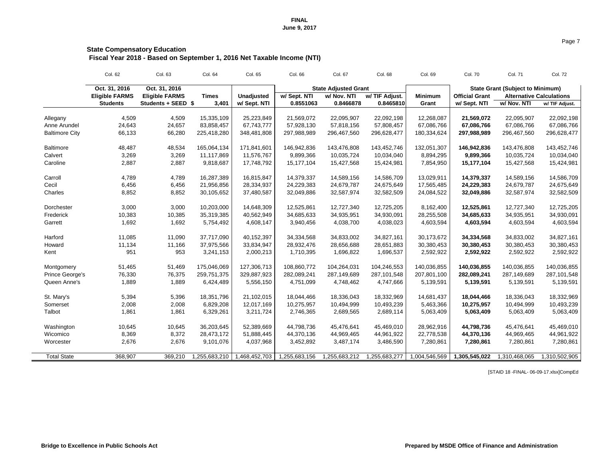## **State Compensatory Education Fiscal Year 2018 - Based on September 1, 2016 Net Taxable Income (NTI)**

|                       | Col. 62               | Col. 63               | Col. 64       | Col. 65           | Col. 66       | Col. 67                     | Col. 68        | Col. 69        | <b>Col. 70</b>        | <b>Col. 71</b>                          | <b>Col. 72</b>                  |
|-----------------------|-----------------------|-----------------------|---------------|-------------------|---------------|-----------------------------|----------------|----------------|-----------------------|-----------------------------------------|---------------------------------|
|                       | Oct. 31, 2016         | Oct. 31, 2016         |               |                   |               | <b>State Adjusted Grant</b> |                |                |                       | <b>State Grant (Subject to Minimum)</b> |                                 |
|                       | <b>Eligible FARMS</b> | <b>Eligible FARMS</b> | <b>Times</b>  | <b>Unadjusted</b> | w/ Sept. NTI  | w/ Nov. NTI                 | w/ TIF Adjust. | <b>Minimum</b> | <b>Official Grant</b> |                                         | <b>Alternative Calculations</b> |
|                       | <b>Students</b>       | Students + SEED \$    | 3,401         | w/ Sept. NTI      | 0.8551063     | 0.8466878                   | 0.8465810      | Grant          | w/ Sept. NTI          | w/ Nov. NTI                             | w/ TIF Adjust.                  |
| Allegany              | 4,509                 | 4,509                 | 15,335,109    | 25,223,849        | 21,569,072    | 22,095,907                  | 22,092,198     | 12,268,087     | 21,569,072            | 22,095,907                              | 22,092,198                      |
| Anne Arundel          | 24,643                | 24,657                | 83,858,457    | 67,743,777        | 57,928,130    | 57,818,156                  | 57,808,457     | 67,086,766     | 67,086,766            | 67,086,766                              | 67,086,766                      |
| <b>Baltimore City</b> | 66,133                | 66,280                | 225,418,280   | 348,481,808       | 297,988,989   | 296,467,560                 | 296,628,477    | 180,334,624    | 297,988,989           | 296,467,560                             | 296,628,477                     |
|                       |                       |                       |               |                   |               |                             |                |                |                       |                                         |                                 |
| <b>Baltimore</b>      | 48,487                | 48,534                | 165,064,134   | 171,841,601       | 146,942,836   | 143,476,808                 | 143,452,746    | 132,051,307    | 146,942,836           | 143,476,808                             | 143,452,746                     |
| Calvert               | 3,269                 | 3,269                 | 11,117,869    | 11,576,767        | 9,899,366     | 10,035,724                  | 10,034,040     | 8,894,295      | 9,899,366             | 10,035,724                              | 10,034,040                      |
| Caroline              | 2,887                 | 2,887                 | 9,818,687     | 17,748,792        | 15,177,104    | 15,427,568                  | 15,424,981     | 7,854,950      | 15,177,104            | 15,427,568                              | 15,424,981                      |
| Carroll               | 4,789                 | 4,789                 | 16,287,389    | 16,815,847        | 14,379,337    | 14,589,156                  | 14,586,709     | 13,029,911     | 14,379,337            | 14,589,156                              | 14,586,709                      |
| Cecil                 | 6,456                 | 6,456                 | 21,956,856    | 28,334,937        | 24,229,383    | 24,679,787                  | 24,675,649     | 17,565,485     | 24,229,383            | 24,679,787                              | 24,675,649                      |
| Charles               | 8,852                 | 8,852                 | 30,105,652    | 37,480,587        | 32,049,886    | 32,587,974                  | 32,582,509     | 24,084,522     | 32,049,886            | 32,587,974                              | 32,582,509                      |
|                       |                       |                       |               |                   |               |                             |                |                |                       |                                         |                                 |
| Dorchester            | 3,000                 | 3,000                 | 10,203,000    | 14,648,309        | 12,525,861    | 12,727,340                  | 12,725,205     | 8,162,400      | 12,525,861            | 12,727,340                              | 12,725,205                      |
| Frederick             | 10,383                | 10,385                | 35,319,385    | 40,562,949        | 34,685,633    | 34,935,951                  | 34,930,091     | 28,255,508     | 34,685,633            | 34,935,951                              | 34,930,091                      |
| Garrett               | 1,692                 | 1,692                 | 5,754,492     | 4,608,147         | 3,940,456     | 4,038,700                   | 4,038,023      | 4,603,594      | 4,603,594             | 4,603,594                               | 4,603,594                       |
| Harford               | 11,085                | 11,090                | 37,717,090    | 40,152,397        | 34,334,568    | 34,833,002                  | 34,827,161     | 30,173,672     | 34,334,568            | 34,833,002                              | 34,827,161                      |
| Howard                | 11,134                | 11,166                | 37,975,566    | 33,834,947        | 28,932,476    | 28,656,688                  | 28,651,883     | 30,380,453     | 30,380,453            | 30,380,453                              | 30,380,453                      |
| Kent                  | 951                   | 953                   | 3,241,153     | 2,000,213         | 1,710,395     | 1,696,822                   | 1,696,537      | 2,592,922      | 2,592,922             | 2,592,922                               | 2,592,922                       |
|                       |                       |                       |               |                   |               |                             |                |                |                       |                                         |                                 |
| Montgomery            | 51,465                | 51,469                | 175,046,069   | 127,306,713       | 108,860,772   | 104,264,031                 | 104,246,553    | 140,036,855    | 140,036,855           | 140,036,855                             | 140,036,855                     |
| Prince George's       | 76,330                | 76,375                | 259,751,375   | 329,887,923       | 282,089,241   | 287,149,689                 | 287, 101, 548  | 207,801,100    | 282,089,241           | 287,149,689                             | 287,101,548                     |
| Queen Anne's          | 1,889                 | 1,889                 | 6,424,489     | 5,556,150         | 4,751,099     | 4,748,462                   | 4,747,666      | 5,139,591      | 5,139,591             | 5,139,591                               | 5,139,591                       |
| St. Mary's            | 5,394                 | 5,396                 | 18,351,796    | 21,102,015        | 18,044,466    | 18,336,043                  | 18,332,969     | 14,681,437     | 18,044,466            | 18,336,043                              | 18,332,969                      |
| Somerset              | 2,008                 | 2,008                 | 6,829,208     | 12,017,169        | 10,275,957    | 10,494,999                  | 10,493,239     | 5,463,366      | 10,275,957            | 10,494,999                              | 10,493,239                      |
| Talbot                | 1,861                 | 1,861                 | 6,329,261     | 3,211,724         | 2,746,365     | 2,689,565                   | 2,689,114      | 5,063,409      | 5,063,409             | 5,063,409                               | 5,063,409                       |
|                       |                       |                       |               |                   |               |                             |                |                |                       |                                         |                                 |
| Washington            | 10,645                | 10,645                | 36,203,645    | 52,389,669        | 44,798,736    | 45,476,641                  | 45,469,010     | 28,962,916     | 44,798,736            | 45,476,641                              | 45,469,010                      |
| Wicomico              | 8,369                 | 8,372                 | 28,473,172    | 51,888,445        | 44,370,136    | 44,969,465                  | 44,961,922     | 22,778,538     | 44,370,136            | 44,969,465                              | 44,961,922                      |
| Worcester             | 2,676                 | 2,676                 | 9,101,076     | 4,037,968         | 3,452,892     | 3,487,174                   | 3,486,590      | 7,280,861      | 7,280,861             | 7,280,861                               | 7,280,861                       |
|                       |                       |                       |               |                   |               |                             |                |                |                       |                                         |                                 |
| <b>Total State</b>    | 368,907               | 369,210               | 1,255,683,210 | 1,468,452,703     | 1,255,683,156 | 1,255,683,212               | 1,255,683,277  | 1,004,546,569  | 1,305,545,022         | 1,310,468,065                           | 1,310,502,905                   |

[STAID 18 -FINAL- 06-09-17.xlsx]CompEd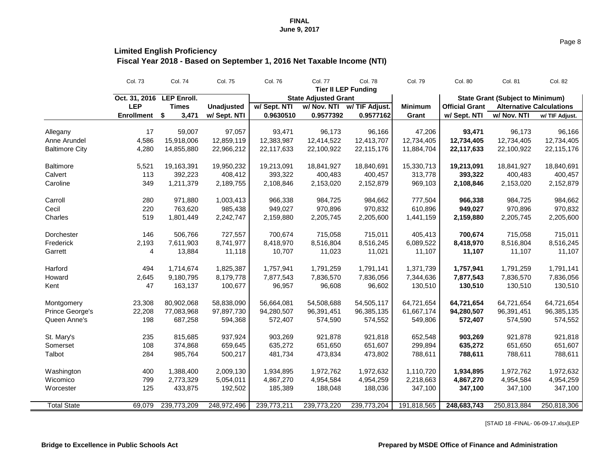## **Limited English Proficiency**

**Fiscal Year 2018 - Based on September 1, 2016 Net Taxable Income (NTI)**

|                       | <b>Col. 73</b>    | <b>Col. 74</b>     | <b>Col. 75</b>    | <b>Col. 76</b> | <b>Col. 77</b>              | <b>Col. 78</b>             | <b>Col. 79</b> | <b>Col. 80</b>        | <b>Col. 81</b>                          | <b>Col. 82</b>                  |
|-----------------------|-------------------|--------------------|-------------------|----------------|-----------------------------|----------------------------|----------------|-----------------------|-----------------------------------------|---------------------------------|
|                       |                   |                    |                   |                |                             | <b>Tier II LEP Funding</b> |                |                       |                                         |                                 |
|                       | Oct. 31, 2016     | <b>LEP Enroll.</b> |                   |                | <b>State Adjusted Grant</b> |                            |                |                       | <b>State Grant (Subject to Minimum)</b> |                                 |
|                       | <b>LEP</b>        | <b>Times</b>       | <b>Unadjusted</b> | w/ Sept. NTI   | w/ Nov. NTI                 | w/ TIF Adjust.             | <b>Minimum</b> | <b>Official Grant</b> |                                         | <b>Alternative Calculations</b> |
|                       | <b>Enrollment</b> | 3,471<br>\$        | w/ Sept. NTI      | 0.9630510      | 0.9577392                   | 0.9577162                  | Grant          | w/ Sept. NTI          | w/ Nov. NTI                             | w/ TIF Adjust.                  |
| Allegany              | 17                | 59,007             | 97,057            | 93,471         | 96,173                      | 96,166                     | 47,206         | 93,471                | 96,173                                  | 96,166                          |
| Anne Arundel          | 4,586             | 15,918,006         | 12,859,119        | 12,383,987     | 12,414,522                  | 12,413,707                 | 12,734,405     | 12,734,405            | 12,734,405                              | 12,734,405                      |
| <b>Baltimore City</b> | 4,280             | 14,855,880         | 22,966,212        | 22,117,633     | 22,100,922                  | 22,115,176                 | 11,884,704     | 22,117,633            | 22,100,922                              | 22,115,176                      |
| <b>Baltimore</b>      | 5,521             | 19,163,391         | 19,950,232        | 19,213,091     | 18,841,927                  | 18,840,691                 | 15,330,713     | 19,213,091            | 18,841,927                              | 18,840,691                      |
| Calvert               | 113               | 392,223            | 408,412           | 393,322        | 400,483                     | 400,457                    | 313,778        | 393,322               | 400,483                                 | 400,457                         |
| Caroline              | 349               | 1,211,379          | 2,189,755         | 2,108,846      | 2,153,020                   | 2,152,879                  | 969,103        | 2,108,846             | 2,153,020                               | 2,152,879                       |
| Carroll               | 280               | 971,880            | 1,003,413         | 966,338        | 984,725                     | 984,662                    | 777,504        | 966,338               | 984,725                                 | 984,662                         |
| Cecil                 | 220               | 763,620            | 985,438           | 949,027        | 970,896                     | 970,832                    | 610,896        | 949,027               | 970,896                                 | 970,832                         |
| Charles               | 519               | 1,801,449          | 2,242,747         | 2,159,880      | 2,205,745                   | 2,205,600                  | 1,441,159      | 2,159,880             | 2,205,745                               | 2,205,600                       |
| <b>Dorchester</b>     | 146               | 506,766            | 727,557           | 700,674        | 715,058                     | 715,011                    | 405,413        | 700,674               | 715,058                                 | 715,011                         |
| Frederick             | 2,193             | 7,611,903          | 8,741,977         | 8,418,970      | 8,516,804                   | 8,516,245                  | 6,089,522      | 8,418,970             | 8,516,804                               | 8,516,245                       |
| Garrett               | 4                 | 13,884             | 11,118            | 10,707         | 11,023                      | 11,021                     | 11,107         | 11,107                | 11,107                                  | 11,107                          |
| Harford               | 494               | 1,714,674          | 1,825,387         | 1,757,941      | 1,791,259                   | 1,791,141                  | 1,371,739      | 1,757,941             | 1,791,259                               | 1,791,141                       |
| Howard                | 2,645             | 9,180,795          | 8,179,778         | 7,877,543      | 7,836,570                   | 7,836,056                  | 7,344,636      | 7,877,543             | 7,836,570                               | 7,836,056                       |
| Kent                  | 47                | 163,137            | 100,677           | 96,957         | 96,608                      | 96,602                     | 130,510        | 130,510               | 130,510                                 | 130,510                         |
| Montgomery            | 23,308            | 80,902,068         | 58,838,090        | 56,664,081     | 54,508,688                  | 54,505,117                 | 64,721,654     | 64,721,654            | 64,721,654                              | 64,721,654                      |
| Prince George's       | 22,208            | 77,083,968         | 97,897,730        | 94,280,507     | 96,391,451                  | 96,385,135                 | 61,667,174     | 94,280,507            | 96,391,451                              | 96,385,135                      |
| Queen Anne's          | 198               | 687,258            | 594,368           | 572,407        | 574,590                     | 574,552                    | 549,806        | 572,407               | 574,590                                 | 574,552                         |
| St. Mary's            | 235               | 815,685            | 937,924           | 903,269        | 921,878                     | 921,818                    | 652,548        | 903,269               | 921,878                                 | 921,818                         |
| Somerset              | 108               | 374,868            | 659,645           | 635,272        | 651,650                     | 651,607                    | 299,894        | 635,272               | 651,650                                 | 651,607                         |
| Talbot                | 284               | 985,764            | 500,217           | 481,734        | 473,834                     | 473,802                    | 788,611        | 788,611               | 788,611                                 | 788,611                         |
| Washington            | 400               | 1,388,400          | 2,009,130         | 1,934,895      | 1,972,762                   | 1,972,632                  | 1,110,720      | 1,934,895             | 1,972,762                               | 1,972,632                       |
| Wicomico              | 799               | 2,773,329          | 5,054,011         | 4,867,270      | 4,954,584                   | 4,954,259                  | 2,218,663      | 4,867,270             | 4,954,584                               | 4,954,259                       |
| Worcester             | 125               | 433,875            | 192,502           | 185,389        | 188,048                     | 188,036                    | 347,100        | 347,100               | 347,100                                 | 347,100                         |
| <b>Total State</b>    | 69,079            | 239,773,209        | 248,972,496       | 239,773,211    | 239,773,220                 | 239,773,204                | 191,818,565    | 248,683,743           | 250,813,884                             | 250,818,306                     |

[STAID 18 -FINAL- 06-09-17.xlsx]LEP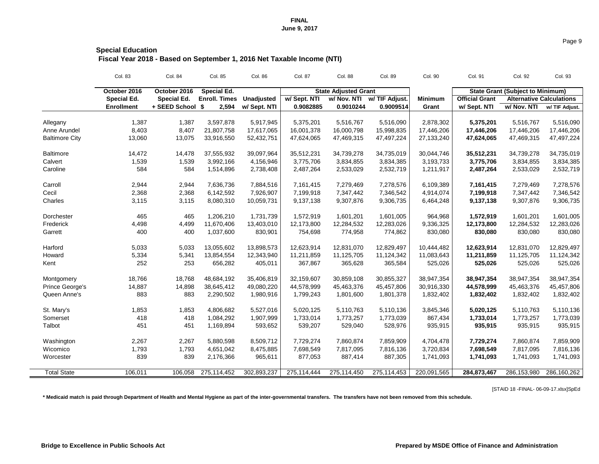## **Special Education Fiscal Year 2018 - Based on September 1, 2016 Net Taxable Income (NTI)**

|                          | <b>Col. 83</b>               | <b>Col. 84</b>     | Col. 85              | <b>Col. 86</b>    | <b>Col. 87</b> | <b>Col. 88</b>              | Col. 89        | Col. 90        | <b>Col. 91</b>        | <b>Col. 92</b>                          | Col. 93        |
|--------------------------|------------------------------|--------------------|----------------------|-------------------|----------------|-----------------------------|----------------|----------------|-----------------------|-----------------------------------------|----------------|
|                          | October 2016<br>October 2016 |                    | <b>Special Ed.</b>   |                   |                | <b>State Adjusted Grant</b> |                |                |                       | <b>State Grant (Subject to Minimum)</b> |                |
|                          | <b>Special Ed.</b>           | <b>Special Ed.</b> | <b>Enroll. Times</b> | <b>Unadjusted</b> | w/ Sept. NTI   | w/ Nov. NTI                 | w/ TIF Adjust. | <b>Minimum</b> | <b>Official Grant</b> | <b>Alternative Calculations</b>         |                |
|                          | <b>Enrollment</b>            | + SEED School \$   | 2,594                | w/ Sept. NTI      | 0.9082885      | 0.9010244                   | 0.9009514      | Grant          | w/ Sept. NTI          | w/ Nov. NTI                             | w/ TIF Adjust. |
|                          | 1,387                        | 1,387              | 3,597,878            | 5,917,945         | 5,375,201      | 5,516,767                   | 5,516,090      | 2,878,302      | 5,375,201             | 5,516,767                               | 5,516,090      |
| Allegany<br>Anne Arundel | 8,403                        | 8,407              | 21,807,758           | 17,617,065        | 16,001,378     | 16,000,798                  | 15,998,835     | 17,446,206     | 17,446,206            | 17,446,206                              | 17,446,206     |
| <b>Baltimore City</b>    | 13,060                       | 13,075             | 33,916,550           | 52,432,751        | 47,624,065     | 47,469,315                  | 47,497,224     | 27, 133, 240   | 47,624,065            | 47,469,315                              | 47,497,224     |
|                          |                              |                    |                      |                   |                |                             |                |                |                       |                                         |                |
| <b>Baltimore</b>         | 14,472                       | 14,478             | 37,555,932           | 39,097,964        | 35,512,231     | 34,739,278                  | 34,735,019     | 30,044,746     | 35,512,231            | 34,739,278                              | 34,735,019     |
| Calvert                  | 1,539                        | 1,539              | 3,992,166            | 4,156,946         | 3,775,706      | 3,834,855                   | 3,834,385      | 3,193,733      | 3,775,706             | 3,834,855                               | 3,834,385      |
| Caroline                 | 584                          | 584                | 1,514,896            | 2,738,408         | 2,487,264      | 2,533,029                   | 2,532,719      | 1,211,917      | 2,487,264             | 2,533,029                               | 2,532,719      |
| Carroll                  | 2,944                        | 2,944              | 7,636,736            | 7,884,516         | 7,161,415      | 7,279,469                   | 7,278,576      | 6,109,389      | 7,161,415             | 7,279,469                               | 7,278,576      |
| Cecil                    | 2,368                        | 2,368              | 6,142,592            | 7,926,907         | 7,199,918      | 7,347,442                   | 7,346,542      | 4,914,074      | 7,199,918             | 7,347,442                               | 7,346,542      |
| Charles                  | 3,115                        | 3,115              | 8,080,310            | 10,059,731        | 9,137,138      | 9,307,876                   | 9,306,735      | 6,464,248      | 9,137,138             | 9,307,876                               | 9,306,735      |
|                          |                              |                    |                      |                   |                |                             |                |                |                       |                                         |                |
| Dorchester               | 465                          | 465                | 1,206,210            | 1,731,739         | 1,572,919      | 1,601,201                   | 1,601,005      | 964,968        | 1,572,919             | 1,601,201                               | 1,601,005      |
| Frederick                | 4,498                        | 4,499              | 11,670,406           | 13,403,010        | 12,173,800     | 12,284,532                  | 12,283,026     | 9,336,325      | 12,173,800            | 12,284,532                              | 12,283,026     |
| Garrett                  | 400                          | 400                | 1,037,600            | 830,901           | 754,698        | 774,958                     | 774,862        | 830,080        | 830,080               | 830,080                                 | 830,080        |
|                          |                              |                    |                      |                   |                |                             |                |                |                       |                                         |                |
| Harford                  | 5,033                        | 5,033              | 13,055,602           | 13,898,573        | 12,623,914     | 12,831,070                  | 12,829,497     | 10,444,482     | 12,623,914            | 12,831,070                              | 12,829,497     |
| Howard                   | 5,334                        | 5,341              | 13,854,554           | 12,343,940        | 11,211,859     | 11,125,705                  | 11,124,342     | 11,083,643     | 11,211,859            | 11,125,705                              | 11,124,342     |
| Kent                     | 252                          | 253                | 656,282              | 405,011           | 367,867        | 365,628                     | 365,584        | 525,026        | 525,026               | 525,026                                 | 525,026        |
| Montgomery               | 18,766                       | 18,768             | 48,684,192           | 35,406,819        | 32,159,607     | 30,859,108                  | 30,855,327     | 38,947,354     | 38,947,354            | 38,947,354                              | 38,947,354     |
| Prince George's          | 14,887                       | 14,898             | 38,645,412           | 49,080,220        | 44,578,999     | 45,463,376                  | 45,457,806     | 30,916,330     | 44,578,999            | 45,463,376                              | 45,457,806     |
| Queen Anne's             | 883                          | 883                | 2,290,502            | 1,980,916         | 1,799,243      | 1,801,600                   | 1,801,378      | 1,832,402      | 1,832,402             | 1,832,402                               | 1,832,402      |
| St. Mary's               | 1,853                        | 1,853              | 4,806,682            | 5,527,016         | 5,020,125      | 5,110,763                   | 5,110,136      | 3,845,346      | 5,020,125             | 5,110,763                               | 5,110,136      |
| Somerset                 | 418                          | 418                | 1,084,292            | 1,907,999         | 1,733,014      | 1,773,257                   | 1,773,039      | 867,434        | 1,733,014             | 1,773,257                               | 1,773,039      |
| Talbot                   | 451                          | 451                | 1,169,894            | 593,652           | 539,207        | 529,040                     | 528,976        | 935,915        | 935,915               | 935,915                                 | 935,915        |
|                          |                              |                    |                      |                   |                |                             |                |                |                       |                                         |                |
| Washington               | 2,267                        | 2,267              | 5,880,598            | 8,509,712         | 7,729,274      | 7,860,874                   | 7,859,909      | 4,704,478      | 7,729,274             | 7,860,874                               | 7,859,909      |
| Wicomico                 | 1,793                        | 1,793              | 4,651,042            | 8,475,885         | 7,698,549      | 7,817,095                   | 7,816,136      | 3,720,834      | 7,698,549             | 7,817,095                               | 7,816,136      |
| Worcester                | 839                          | 839                | 2,176,366            | 965,611           | 877,053        | 887,414                     | 887,305        | 1,741,093      | 1,741,093             | 1,741,093                               | 1,741,093      |
| <b>Total State</b>       | 106,011                      |                    | 106,058 275,114,452  | 302,893,237       | 275,114,444    | 275,114,450                 | 275,114,453    | 220,091,565    | 284,873,467           | 286,153,980                             | 286,160,262    |
|                          |                              |                    |                      |                   |                |                             |                |                |                       |                                         |                |

[STAID 18 -FINAL- 06-09-17.xlsx]SpEd

**\* Medicaid match is paid through Department of Health and Mental Hygiene as part of the inter-governmental transfers. The transfers have not been removed from this schedule.**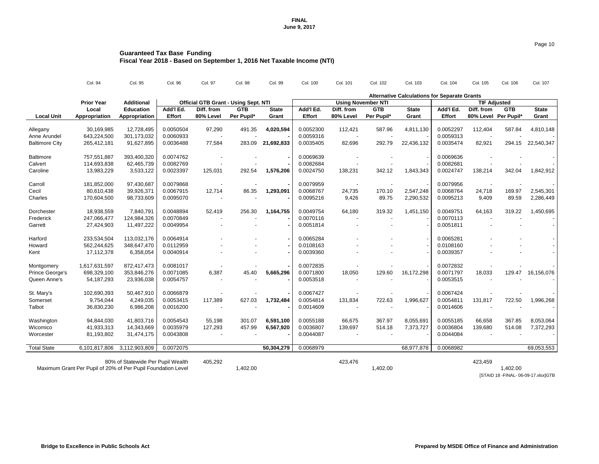| Col. 103 | Col. 104 | Col. 1 |
|----------|----------|--------|
|          |          |        |

## **Guaranteed Tax Base Funding Fiscal Year 2018 - Based on September 1, 2016 Net Taxable Income (NTI)**

|                          | Col. 94           | Col. 95                           | Col. 96       | Col. 97                                     | <b>Col. 98</b> | Col. 99      | Col. 100      | Col. 101   | Col. 102                  | Col. 103     | Col. 104                                            | Col. 105   | Col. 106             | Col. 107     |  |
|--------------------------|-------------------|-----------------------------------|---------------|---------------------------------------------|----------------|--------------|---------------|------------|---------------------------|--------------|-----------------------------------------------------|------------|----------------------|--------------|--|
|                          |                   |                                   |               |                                             |                |              |               |            |                           |              | <b>Alternative Calculations for Separate Grants</b> |            |                      |              |  |
|                          | <b>Prior Year</b> | <b>Additional</b>                 |               | <b>Official GTB Grant - Using Sept. NTI</b> |                |              |               |            | <b>Using November NTI</b> |              | <b>TIF Adjusted</b>                                 |            |                      |              |  |
|                          | Local             | <b>Education</b>                  | Add'l Ed.     | Diff. from                                  | <b>GTB</b>     | <b>State</b> | Add'l Ed.     | Diff. from | <b>GTB</b>                | <b>State</b> | Add'l Ed.                                           | Diff. from | <b>GTB</b>           | <b>State</b> |  |
| <b>Local Unit</b>        | Appropriation     | Appropriation                     | <b>Effort</b> | 80% Level                                   | Per Pupil*     | <b>Grant</b> | <b>Effort</b> | 80% Level  | Per Pupil*                | <b>Grant</b> | <b>Effort</b>                                       |            | 80% Level Per Pupil* | Grant        |  |
|                          | 30,169,985        | 12,728,495                        | 0.0050504     | 97,290                                      | 491.35         | 4,020,594    | 0.0052300     | 112,421    | 587.96                    | 4,811,130    | 0.0052297                                           | 112,404    | 587.84               | 4,810,148    |  |
| Allegany<br>Anne Arundel | 643,224,500       | 301,173,032                       | 0.0060933     |                                             |                |              | 0.0059316     |            |                           |              | 0.0059313                                           |            |                      |              |  |
|                          |                   |                                   |               |                                             |                |              |               |            |                           |              | 0.0035474                                           |            |                      |              |  |
| <b>Baltimore City</b>    | 265,412,181       | 91,627,895                        | 0.0036488     | 77,584                                      | 283.09         | 21,692,833   | 0.0035405     | 82,696     | 292.79                    | 22,436,132   |                                                     | 82,921     | 294.15               | 22,540,347   |  |
| <b>Baltimore</b>         | 757,551,887       | 393,400,320                       | 0.0074762     |                                             |                |              | 0.0069639     |            |                           |              | 0.0069636                                           |            |                      |              |  |
| Calvert                  | 114,693,838       | 62,465,739                        | 0.0082769     |                                             |                |              | 0.0082684     |            |                           |              | 0.0082681                                           |            |                      |              |  |
| Caroline                 | 13,983,229        | 3,533,122                         | 0.0023397     | 125,031                                     | 292.54         | 1,576,206    | 0.0024750     | 138,231    | 342.12                    | 1,843,343    | 0.0024747                                           | 138,214    | 342.04               | 1,842,912    |  |
| Carroll                  | 181,852,000       | 97,430,687                        | 0.0079868     |                                             |                |              | 0.0079959     |            |                           |              | 0.0079956                                           |            |                      |              |  |
| Cecil                    | 80,610,438        | 39,926,371                        | 0.0067915     | 12,714                                      | 86.35          | 1,293,091    | 0.0068767     | 24,735     | 170.10                    | 2,547,248    | 0.0068764                                           | 24,718     | 169.97               | 2,545,301    |  |
| Charles                  | 170,604,500       | 98,733,609                        | 0.0095070     |                                             |                |              | 0.0095216     | 9,426      | 89.75                     | 2,290,532    | 0.0095213                                           | 9,409      | 89.59                | 2,286,449    |  |
|                          |                   |                                   |               |                                             |                |              |               |            |                           |              |                                                     |            |                      |              |  |
| Dorchester               | 18,938,559        | 7,840,791                         | 0.0048894     | 52,419                                      | 256.30         | 1,164,755    | 0.0049754     | 64,180     | 319.32                    | 1,451,150    | 0.0049751                                           | 64,163     | 319.22               | 1,450,695    |  |
| Frederick                | 247,066,477       | 124,984,326                       | 0.0070849     |                                             |                |              | 0.0070116     |            |                           |              | 0.0070113                                           |            |                      |              |  |
| Garrett                  | 27,424,903        | 11,497,222                        | 0.0049954     |                                             |                |              | 0.0051814     |            |                           |              | 0.0051811                                           |            |                      |              |  |
| Harford                  | 233,534,504       | 113,032,176                       | 0.0064914     |                                             |                |              | 0.0065284     |            |                           |              | 0.0065281                                           |            |                      |              |  |
| Howard                   | 562,244,625       | 348,647,470                       | 0.0112959     |                                             |                |              | 0.0108163     |            |                           |              | 0.0108160                                           |            |                      |              |  |
|                          |                   | 6,358,054                         | 0.0040914     |                                             |                |              | 0.0039360     |            |                           |              | 0.0039357                                           |            |                      |              |  |
| Kent                     | 17,112,378        |                                   |               |                                             |                |              |               |            |                           |              |                                                     |            |                      |              |  |
| Montgomery               | 1,617,631,597     | 872,417,473                       | 0.0081017     |                                             |                |              | 0.0072835     |            |                           |              | 0.0072832                                           |            |                      |              |  |
| Prince George's          | 698,329,100       | 353,846,276                       | 0.0071085     | 6,387                                       | 45.40          | 5,665,296    | 0.0071800     | 18,050     | 129.60                    | 16,172,298   | 0.0071797                                           | 18,033     | 129.47               | 16,156,076   |  |
| Queen Anne's             | 54,187,293        | 23,936,038                        | 0.0054757     |                                             |                |              | 0.0053518     |            |                           |              | 0.0053515                                           |            |                      |              |  |
| St. Mary's               | 102,690,393       | 50,467,910                        | 0.0066879     |                                             |                |              | 0.0067427     |            |                           |              | 0.0067424                                           |            |                      |              |  |
| Somerset                 | 9,754,044         | 4,249,035                         | 0.0053415     | 117,389                                     | 627.03         | 1,732,484    | 0.0054814     | 131,834    | 722.63                    | 1,996,627    | 0.0054811                                           | 131,817    | 722.50               | 1,996,268    |  |
| <b>Talbot</b>            | 36,830,230        | 6,986,208                         | 0.0016200     |                                             |                |              | 0.0014609     |            |                           |              | 0.0014606                                           |            |                      |              |  |
|                          |                   |                                   |               |                                             |                |              |               |            |                           |              |                                                     |            |                      |              |  |
| Washington               | 94,844,030        | 41,803,716                        | 0.0054543     | 55,198                                      | 301.07         | 6,591,100    | 0.0055188     | 66,675     | 367.97                    | 8,055,691    | 0.0055185                                           | 66,658     | 367.85               | 8,053,064    |  |
| Wicomico                 | 41,933,313        | 14,343,669                        | 0.0035979     | 127,293                                     | 457.99         | 6,567,920    | 0.0036807     | 139,697    | 514.18                    | 7,373,727    | 0.0036804                                           | 139,680    | 514.08               | 7,372,293    |  |
| Worcester                | 81,193,802        | 31,474,175                        | 0.0043808     |                                             |                |              | 0.0044087     |            |                           |              | 0.0044084                                           |            |                      |              |  |
| <b>Total State</b>       | 6,101,817,806     | 3,112,903,809                     | 0.0072075     |                                             |                | 50,304,279   | 0.0068979     |            |                           | 68,977,878   | 0.0068982                                           |            |                      | 69,053,553   |  |
|                          |                   |                                   |               |                                             |                |              |               |            |                           |              |                                                     |            |                      |              |  |
|                          |                   | 80% of Statewide Per Pupil Wealth |               | 405,292                                     |                |              |               | 423,476    |                           |              |                                                     | 423,459    |                      |              |  |

Maximum Grant Per Pupil of 20% of Per Pupil Foundation Level 1,402.00 1,402.00 1,402.00 1,402.00 1,402.00

[STAID 18 -FINAL- 06-09-17.xlsx]GTB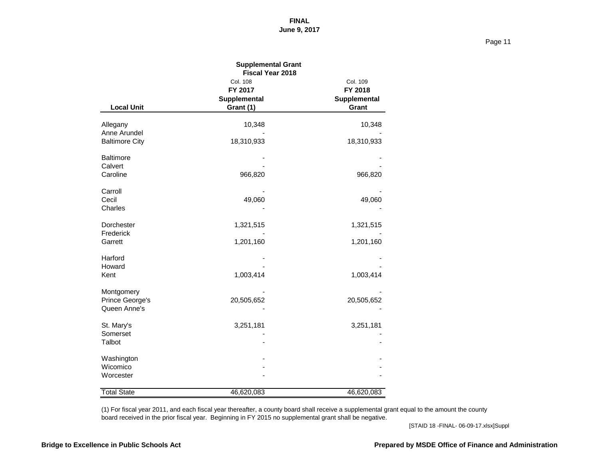Page 11

|                                 | <b>Supplemental Grant</b><br><b>Fiscal Year 2018</b> |                              |
|---------------------------------|------------------------------------------------------|------------------------------|
|                                 | Col. 108<br>FY 2017                                  | Col. 109<br>FY 2018          |
| <b>Local Unit</b>               | <b>Supplemental</b><br>Grant (1)                     | <b>Supplemental</b><br>Grant |
| Allegany<br>Anne Arundel        | 10,348                                               | 10,348                       |
| <b>Baltimore City</b>           | 18,310,933                                           | 18,310,933                   |
| <b>Baltimore</b><br>Calvert     |                                                      |                              |
| Caroline                        | 966,820                                              | 966,820                      |
| Carroll<br>Cecil                | 49,060                                               | 49,060                       |
| <b>Charles</b>                  |                                                      |                              |
| Dorchester<br>Frederick         | 1,321,515                                            | 1,321,515                    |
| Garrett                         | 1,201,160                                            | 1,201,160                    |
| Harford<br>Howard               |                                                      |                              |
| Kent                            | 1,003,414                                            | 1,003,414                    |
| Montgomery                      |                                                      |                              |
| Prince George's<br>Queen Anne's | 20,505,652                                           | 20,505,652                   |
| St. Mary's                      | 3,251,181                                            | 3,251,181                    |
| Somerset<br><b>Talbot</b>       |                                                      |                              |
| Washington                      |                                                      |                              |
| Wicomico<br>Worcester           |                                                      |                              |
| <b>Total State</b>              | 46,620,083                                           | 46,620,083                   |

(1) For fiscal year 2011, and each fiscal year thereafter, a county board shall receive a supplemental grant equal to the amount the county board received in the prior fiscal year. Beginning in FY 2015 no supplemental grant shall be negative.

[STAID 18 -FINAL- 06-09-17.xlsx]Suppl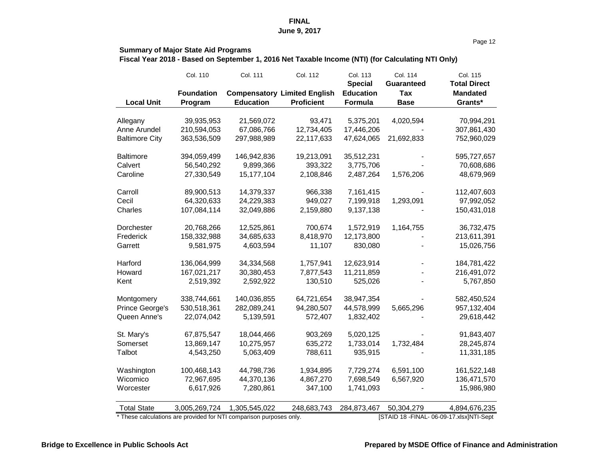Page 12

#### **Summary of Major State Aid Programs**

**Fiscal Year 2018 - Based on September 1, 2016 Net Taxable Income (NTI) (for Calculating NTI Only)**

|                       | Col. 110          | <b>Col. 111</b>  | Col. 112                            | Col. 113<br><b>Special</b> | Col. 114<br><b>Guaranteed</b> | Col. 115<br><b>Total Direct</b> |
|-----------------------|-------------------|------------------|-------------------------------------|----------------------------|-------------------------------|---------------------------------|
|                       | <b>Foundation</b> |                  | <b>Compensatory Limited English</b> | <b>Education</b>           | Tax                           | <b>Mandated</b>                 |
| <b>Local Unit</b>     | Program           | <b>Education</b> | <b>Proficient</b>                   | <b>Formula</b>             | <b>Base</b>                   | Grants*                         |
| Allegany              | 39,935,953        | 21,569,072       | 93,471                              | 5,375,201                  | 4,020,594                     | 70,994,291                      |
| Anne Arundel          | 210,594,053       | 67,086,766       | 12,734,405                          | 17,446,206                 |                               | 307,861,430                     |
| <b>Baltimore City</b> | 363,536,509       | 297,988,989      | 22,117,633                          | 47,624,065                 | 21,692,833                    | 752,960,029                     |
| <b>Baltimore</b>      | 394,059,499       | 146,942,836      | 19,213,091                          | 35,512,231                 |                               | 595,727,657                     |
| Calvert               | 56,540,292        | 9,899,366        | 393,322                             | 3,775,706                  |                               | 70,608,686                      |
| Caroline              | 27,330,549        | 15,177,104       | 2,108,846                           | 2,487,264                  | 1,576,206                     | 48,679,969                      |
| Carroll               | 89,900,513        | 14,379,337       | 966,338                             | 7,161,415                  |                               | 112,407,603                     |
| Cecil                 | 64,320,633        | 24,229,383       | 949,027                             | 7,199,918                  | 1,293,091                     | 97,992,052                      |
| Charles               | 107,084,114       | 32,049,886       | 2,159,880                           | 9,137,138                  |                               | 150,431,018                     |
| <b>Dorchester</b>     | 20,768,266        | 12,525,861       | 700,674                             | 1,572,919                  | 1,164,755                     | 36,732,475                      |
| Frederick             | 158,332,988       | 34,685,633       | 8,418,970                           | 12,173,800                 |                               | 213,611,391                     |
| Garrett               | 9,581,975         | 4,603,594        | 11,107                              | 830,080                    |                               | 15,026,756                      |
| Harford               | 136,064,999       | 34,334,568       | 1,757,941                           | 12,623,914                 |                               | 184,781,422                     |
| Howard                | 167,021,217       | 30,380,453       | 7,877,543                           | 11,211,859                 |                               | 216,491,072                     |
| Kent                  | 2,519,392         | 2,592,922        | 130,510                             | 525,026                    |                               | 5,767,850                       |
| Montgomery            | 338,744,661       | 140,036,855      | 64,721,654                          | 38,947,354                 |                               | 582,450,524                     |
| Prince George's       | 530,518,361       | 282,089,241      | 94,280,507                          | 44,578,999                 | 5,665,296                     | 957, 132, 404                   |
| Queen Anne's          | 22,074,042        | 5,139,591        | 572,407                             | 1,832,402                  |                               | 29,618,442                      |
| St. Mary's            | 67,875,547        | 18,044,466       | 903,269                             | 5,020,125                  |                               | 91,843,407                      |
| Somerset              | 13,869,147        | 10,275,957       | 635,272                             | 1,733,014                  | 1,732,484                     | 28,245,874                      |
| Talbot                | 4,543,250         | 5,063,409        | 788,611                             | 935,915                    |                               | 11,331,185                      |
| Washington            | 100,468,143       | 44,798,736       | 1,934,895                           | 7,729,274                  | 6,591,100                     | 161,522,148                     |
| Wicomico              | 72,967,695        | 44,370,136       | 4,867,270                           | 7,698,549                  | 6,567,920                     | 136,471,570                     |
| Worcester             | 6,617,926         | 7,280,861        | 347,100                             | 1,741,093                  |                               | 15,986,980                      |
| <b>Total State</b>    | 3,005,269,724     | 1,305,545,022    | 248,683,743                         | 284,873,467                | 50,304,279                    | 4,894,676,235                   |

These calculations are provided for NTI comparison purposes only. [STAID 18 -FINAL- 06-09-17.xlsx]NTI-Sept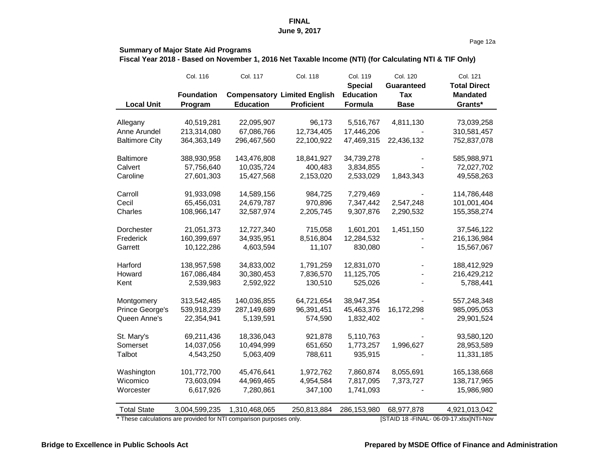#### Page 12a

#### **Summary of Major State Aid Programs**

**Fiscal Year 2018 - Based on November 1, 2016 Net Taxable Income (NTI) (for Calculating NTI & TIF Only)**

|                        | Col. 116          | Col. 117         | <b>Col. 118</b>                     | Col. 119         | Col. 120          | Col. 121            |
|------------------------|-------------------|------------------|-------------------------------------|------------------|-------------------|---------------------|
|                        |                   |                  |                                     | <b>Special</b>   | <b>Guaranteed</b> | <b>Total Direct</b> |
|                        | <b>Foundation</b> |                  | <b>Compensatory Limited English</b> | <b>Education</b> | <b>Tax</b>        | <b>Mandated</b>     |
| <b>Local Unit</b>      | Program           | <b>Education</b> | <b>Proficient</b>                   | <b>Formula</b>   | <b>Base</b>       | Grants*             |
| Allegany               | 40,519,281        | 22,095,907       | 96,173                              | 5,516,767        | 4,811,130         | 73,039,258          |
| Anne Arundel           | 213,314,080       | 67,086,766       | 12,734,405                          | 17,446,206       |                   | 310,581,457         |
| <b>Baltimore City</b>  | 364, 363, 149     | 296,467,560      | 22,100,922                          | 47,469,315       | 22,436,132        | 752,837,078         |
|                        |                   |                  |                                     |                  |                   |                     |
| <b>Baltimore</b>       | 388,930,958       | 143,476,808      | 18,841,927                          | 34,739,278       |                   | 585,988,971         |
| Calvert                | 57,756,640        | 10,035,724       | 400,483                             | 3,834,855        |                   | 72,027,702          |
| Caroline               | 27,601,303        | 15,427,568       | 2,153,020                           | 2,533,029        | 1,843,343         | 49,558,263          |
| Carroll                | 91,933,098        | 14,589,156       | 984,725                             | 7,279,469        |                   | 114,786,448         |
| Cecil                  | 65,456,031        | 24,679,787       | 970,896                             | 7,347,442        | 2,547,248         | 101,001,404         |
| Charles                | 108,966,147       | 32,587,974       | 2,205,745                           | 9,307,876        | 2,290,532         | 155,358,274         |
|                        |                   |                  |                                     |                  |                   |                     |
| <b>Dorchester</b>      | 21,051,373        | 12,727,340       | 715,058                             | 1,601,201        | 1,451,150         | 37,546,122          |
| Frederick              | 160,399,697       | 34,935,951       | 8,516,804                           | 12,284,532       |                   | 216,136,984         |
| Garrett                | 10,122,286        | 4,603,594        | 11,107                              | 830,080          |                   | 15,567,067          |
| Harford                | 138,957,598       | 34,833,002       | 1,791,259                           | 12,831,070       |                   | 188,412,929         |
| Howard                 | 167,086,484       | 30,380,453       | 7,836,570                           | 11,125,705       |                   | 216,429,212         |
| Kent                   | 2,539,983         | 2,592,922        | 130,510                             | 525,026          |                   | 5,788,441           |
| Montgomery             | 313,542,485       | 140,036,855      | 64,721,654                          | 38,947,354       |                   | 557,248,348         |
| <b>Prince George's</b> | 539,918,239       | 287,149,689      | 96,391,451                          | 45,463,376       | 16,172,298        | 985,095,053         |
| Queen Anne's           | 22,354,941        | 5,139,591        | 574,590                             | 1,832,402        |                   | 29,901,524          |
|                        |                   |                  |                                     |                  |                   |                     |
| St. Mary's             | 69,211,436        | 18,336,043       | 921,878                             | 5,110,763        |                   | 93,580,120          |
| Somerset               | 14,037,056        | 10,494,999       | 651,650                             | 1,773,257        | 1,996,627         | 28,953,589          |
| Talbot                 | 4,543,250         | 5,063,409        | 788,611                             | 935,915          |                   | 11,331,185          |
| Washington             | 101,772,700       | 45,476,641       | 1,972,762                           | 7,860,874        | 8,055,691         | 165,138,668         |
| Wicomico               | 73,603,094        | 44,969,465       | 4,954,584                           | 7,817,095        | 7,373,727         | 138,717,965         |
| Worcester              | 6,617,926         | 7,280,861        | 347,100                             | 1,741,093        |                   | 15,986,980          |
|                        |                   |                  |                                     |                  |                   |                     |
| <b>Total State</b>     | 3,004,599,235     | 1,310,468,065    | 250,813,884                         | 286,153,980      | 68,977,878        | 4,921,013,042       |

These calculations are provided for NTI comparison purposes only. [STAID 18 -FINAL- 06-09-17.xlsx]NTI-Nov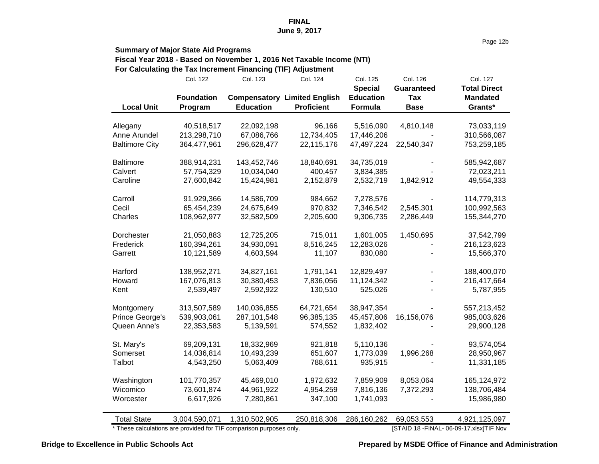Page 12b

#### **Summary of Major State Aid Programs Fiscal Year 2018 - Based on November 1, 2016 Net Taxable Income (NTI) For Calculating the Tax Increment Financing (TIF) Adjustment**

|                                                                   | <b>Col. 122</b>   | Col. 123         | Col. 124                            | Col. 125         | Col. 126          | Col. 127                                  |
|-------------------------------------------------------------------|-------------------|------------------|-------------------------------------|------------------|-------------------|-------------------------------------------|
|                                                                   |                   |                  |                                     | <b>Special</b>   | <b>Guaranteed</b> | <b>Total Direct</b>                       |
|                                                                   | <b>Foundation</b> |                  | <b>Compensatory Limited English</b> | <b>Education</b> | Tax               | <b>Mandated</b>                           |
| <b>Local Unit</b>                                                 | Program           | <b>Education</b> | <b>Proficient</b>                   | <b>Formula</b>   | <b>Base</b>       | Grants*                                   |
|                                                                   |                   |                  |                                     |                  |                   |                                           |
| Allegany                                                          | 40,518,517        | 22,092,198       | 96,166                              | 5,516,090        | 4,810,148         | 73,033,119                                |
| Anne Arundel                                                      | 213,298,710       | 67,086,766       | 12,734,405                          | 17,446,206       |                   | 310,566,087                               |
| <b>Baltimore City</b>                                             | 364,477,961       | 296,628,477      | 22,115,176                          | 47,497,224       | 22,540,347        | 753,259,185                               |
|                                                                   |                   |                  |                                     |                  |                   |                                           |
| <b>Baltimore</b>                                                  | 388,914,231       | 143,452,746      | 18,840,691                          | 34,735,019       |                   | 585,942,687                               |
| Calvert                                                           | 57,754,329        | 10,034,040       | 400,457                             | 3,834,385        |                   | 72,023,211                                |
| Caroline                                                          | 27,600,842        | 15,424,981       | 2,152,879                           | 2,532,719        | 1,842,912         | 49,554,333                                |
| Carroll                                                           | 91,929,366        | 14,586,709       | 984,662                             | 7,278,576        |                   | 114,779,313                               |
| Cecil                                                             | 65,454,239        | 24,675,649       | 970,832                             | 7,346,542        | 2,545,301         | 100,992,563                               |
| Charles                                                           | 108,962,977       | 32,582,509       | 2,205,600                           | 9,306,735        | 2,286,449         | 155,344,270                               |
|                                                                   |                   |                  |                                     |                  |                   |                                           |
| <b>Dorchester</b>                                                 | 21,050,883        | 12,725,205       | 715,011                             | 1,601,005        | 1,450,695         | 37,542,799                                |
| Frederick                                                         | 160,394,261       | 34,930,091       | 8,516,245                           | 12,283,026       |                   | 216,123,623                               |
| Garrett                                                           | 10,121,589        | 4,603,594        | 11,107                              | 830,080          |                   | 15,566,370                                |
|                                                                   |                   |                  |                                     |                  |                   |                                           |
| Harford                                                           | 138,952,271       | 34,827,161       | 1,791,141                           | 12,829,497       |                   | 188,400,070                               |
| Howard                                                            | 167,076,813       | 30,380,453       | 7,836,056                           | 11,124,342       |                   | 216,417,664                               |
| Kent                                                              | 2,539,497         | 2,592,922        | 130,510                             | 525,026          |                   | 5,787,955                                 |
| Montgomery                                                        | 313,507,589       | 140,036,855      | 64,721,654                          | 38,947,354       |                   | 557,213,452                               |
| <b>Prince George's</b>                                            | 539,903,061       | 287,101,548      | 96,385,135                          | 45,457,806       | 16,156,076        | 985,003,626                               |
| Queen Anne's                                                      | 22,353,583        | 5,139,591        | 574,552                             | 1,832,402        |                   | 29,900,128                                |
|                                                                   |                   |                  |                                     |                  |                   |                                           |
| St. Mary's                                                        | 69,209,131        | 18,332,969       | 921,818                             | 5,110,136        |                   | 93,574,054                                |
| Somerset                                                          | 14,036,814        | 10,493,239       | 651,607                             | 1,773,039        | 1,996,268         | 28,950,967                                |
| Talbot                                                            | 4,543,250         | 5,063,409        | 788,611                             | 935,915          |                   | 11,331,185                                |
|                                                                   | 101,770,357       | 45,469,010       |                                     | 7,859,909        | 8,053,064         | 165,124,972                               |
| Washington<br>Wicomico                                            | 73,601,874        | 44,961,922       | 1,972,632<br>4,954,259              | 7,816,136        | 7,372,293         | 138,706,484                               |
|                                                                   |                   |                  |                                     |                  |                   |                                           |
| Worcester                                                         | 6,617,926         | 7,280,861        | 347,100                             | 1,741,093        |                   | 15,986,980                                |
| <b>Total State</b>                                                | 3,004,590,071     | 1,310,502,905    | 250,818,306                         | 286,160,262      | 69,053,553        | 4,921,125,097                             |
| These calculations are provided for TIF comparison purposes only. |                   |                  |                                     |                  |                   | [STAID 18 - FINAL - 06-09-17.xlsx]TIF Nov |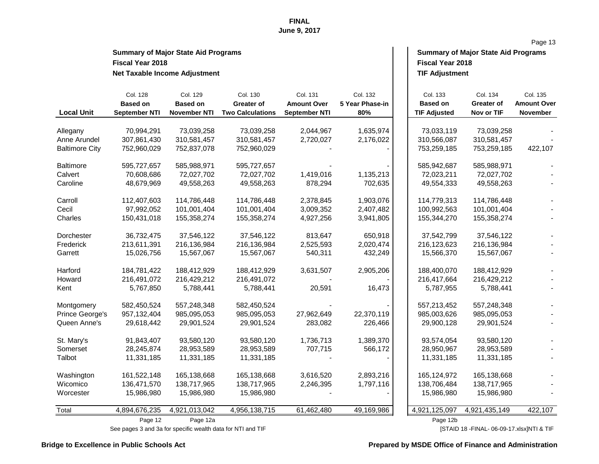# **Fiscal Year 2018 Fiscal Year 2018 Net Taxable Income Adjustment**

| <b>Summary of Major State Aid Programs</b> | <b>Summary of Major State Aid Programs</b> |
|--------------------------------------------|--------------------------------------------|
| <b>Fiscal Year 2018</b>                    | <b>Fiscal Year 2018</b>                    |
| Net Tavahle Income Adjustment              | <b>TIF Adjustment</b>                      |

Page 13

| <b>Local Unit</b>     | Col. 128<br><b>Based on</b><br><b>September NTI</b> | Col. 129<br><b>Based on</b><br><b>November NTI</b> | Col. 130<br><b>Greater of</b><br><b>Two Calculations</b> | Col. 131<br><b>Amount Over</b><br><b>September NTI</b> | Col. 132<br>5 Year Phase-in<br>80% | Col. 133<br><b>Based on</b><br><b>TIF Adjusted</b> | Col. 134<br><b>Greater of</b><br>Nov or TIF | Col. 135<br><b>Amount Over</b><br><b>November</b> |
|-----------------------|-----------------------------------------------------|----------------------------------------------------|----------------------------------------------------------|--------------------------------------------------------|------------------------------------|----------------------------------------------------|---------------------------------------------|---------------------------------------------------|
|                       |                                                     |                                                    |                                                          |                                                        |                                    |                                                    |                                             |                                                   |
| Allegany              | 70,994,291                                          | 73,039,258                                         | 73,039,258                                               | 2,044,967                                              | 1,635,974                          | 73,033,119                                         | 73,039,258                                  |                                                   |
| Anne Arundel          | 307,861,430                                         | 310,581,457                                        | 310,581,457                                              | 2,720,027                                              | 2,176,022                          | 310,566,087                                        | 310,581,457                                 |                                                   |
| <b>Baltimore City</b> | 752,960,029                                         | 752,837,078                                        | 752,960,029                                              |                                                        |                                    | 753,259,185                                        | 753,259,185                                 | 422,107                                           |
| <b>Baltimore</b>      | 595,727,657                                         | 585,988,971                                        | 595,727,657                                              |                                                        |                                    | 585,942,687                                        | 585,988,971                                 |                                                   |
| Calvert               | 70,608,686                                          | 72,027,702                                         | 72,027,702                                               | 1,419,016                                              | 1,135,213                          | 72,023,211                                         | 72,027,702                                  |                                                   |
| Caroline              | 48,679,969                                          | 49,558,263                                         | 49,558,263                                               | 878,294                                                | 702,635                            | 49,554,333                                         | 49,558,263                                  |                                                   |
| Carroll               | 112,407,603                                         | 114,786,448                                        | 114,786,448                                              | 2,378,845                                              | 1,903,076                          | 114,779,313                                        | 114,786,448                                 |                                                   |
| Cecil                 | 97,992,052                                          | 101,001,404                                        | 101,001,404                                              | 3,009,352                                              | 2,407,482                          | 100,992,563                                        | 101,001,404                                 |                                                   |
| Charles               | 150,431,018                                         | 155,358,274                                        | 155,358,274                                              | 4,927,256                                              | 3,941,805                          | 155,344,270                                        | 155,358,274                                 |                                                   |
| Dorchester            | 36,732,475                                          | 37,546,122                                         | 37,546,122                                               | 813,647                                                | 650,918                            | 37,542,799                                         | 37,546,122                                  |                                                   |
| Frederick             | 213,611,391                                         | 216,136,984                                        | 216,136,984                                              | 2,525,593                                              | 2,020,474                          | 216, 123, 623                                      | 216,136,984                                 |                                                   |
| Garrett               | 15,026,756                                          | 15,567,067                                         | 15,567,067                                               | 540,311                                                | 432,249                            | 15,566,370                                         | 15,567,067                                  |                                                   |
| Harford               | 184,781,422                                         | 188,412,929                                        | 188,412,929                                              | 3,631,507                                              | 2,905,206                          | 188,400,070                                        | 188,412,929                                 |                                                   |
| Howard                | 216,491,072                                         | 216,429,212                                        | 216,491,072                                              |                                                        |                                    | 216,417,664                                        | 216,429,212                                 |                                                   |
| Kent                  | 5,767,850                                           | 5,788,441                                          | 5,788,441                                                | 20,591                                                 | 16,473                             | 5,787,955                                          | 5,788,441                                   |                                                   |
| Montgomery            | 582,450,524                                         | 557,248,348                                        | 582,450,524                                              |                                                        |                                    | 557,213,452                                        | 557,248,348                                 |                                                   |
| Prince George's       | 957, 132, 404                                       | 985,095,053                                        | 985,095,053                                              | 27,962,649                                             | 22,370,119                         | 985,003,626                                        | 985,095,053                                 |                                                   |
| Queen Anne's          | 29,618,442                                          | 29,901,524                                         | 29,901,524                                               | 283,082                                                | 226,466                            | 29,900,128                                         | 29,901,524                                  |                                                   |
| St. Mary's            | 91,843,407                                          | 93,580,120                                         | 93,580,120                                               | 1,736,713                                              | 1,389,370                          | 93,574,054                                         | 93,580,120                                  |                                                   |
| Somerset              | 28,245,874                                          | 28,953,589                                         | 28,953,589                                               | 707,715                                                | 566,172                            | 28,950,967                                         | 28,953,589                                  |                                                   |
| Talbot                | 11,331,185                                          | 11,331,185                                         | 11,331,185                                               |                                                        |                                    | 11,331,185                                         | 11,331,185                                  |                                                   |
| Washington            | 161,522,148                                         | 165,138,668                                        | 165,138,668                                              | 3,616,520                                              | 2,893,216                          | 165, 124, 972                                      | 165,138,668                                 |                                                   |
| Wicomico              | 136,471,570                                         | 138,717,965                                        | 138,717,965                                              | 2,246,395                                              | 1,797,116                          | 138,706,484                                        | 138,717,965                                 |                                                   |
| Worcester             | 15,986,980                                          | 15,986,980                                         | 15,986,980                                               |                                                        |                                    | 15,986,980                                         | 15,986,980                                  |                                                   |
| Total                 | 4,894,676,235                                       | 4,921,013,042                                      | 4,956,138,715                                            | 61,462,480                                             | 49,169,986                         | 4,921,125,097                                      | 4,921,435,149                               | 422,107                                           |
|                       | Page 12                                             | Page 12a                                           |                                                          |                                                        |                                    | Page 12b                                           |                                             |                                                   |

See pages 3 and 3a for specific wealth data for NTI and TIF **and TIF and TIF** [STAID 18 -FINAL- 06-09-17.xlsx]NTI & TIF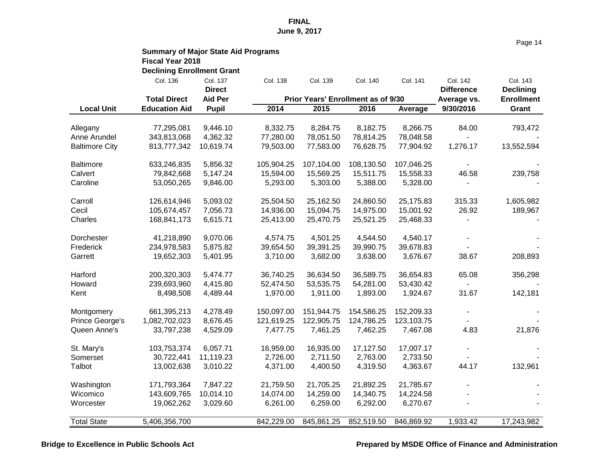|                        | <b>Summary of Major State Aid Programs</b><br><b>Fiscal Year 2018</b> |                           |            |            |                                           |            |                               |                              |
|------------------------|-----------------------------------------------------------------------|---------------------------|------------|------------|-------------------------------------------|------------|-------------------------------|------------------------------|
|                        | <b>Declining Enrollment Grant</b>                                     |                           |            |            |                                           |            |                               |                              |
|                        | Col. 136                                                              | Col. 137<br><b>Direct</b> | Col. 138   | Col. 139   | Col. 140                                  | Col. 141   | Col. 142<br><b>Difference</b> | Col. 143<br><b>Declining</b> |
|                        | <b>Total Direct</b>                                                   | <b>Aid Per</b>            |            |            | <b>Prior Years' Enrollment as of 9/30</b> |            | Average vs.                   | <b>Enrollment</b>            |
| <b>Local Unit</b>      | <b>Education Aid</b>                                                  | <b>Pupil</b>              | 2014       | 2015       | 2016                                      | Average    | 9/30/2016                     | Grant                        |
| Allegany               | 77,295,081                                                            | 9,446.10                  | 8,332.75   | 8,284.75   | 8,182.75                                  | 8,266.75   | 84.00                         | 793,472                      |
| Anne Arundel           | 343,813,068                                                           | 4,362.32                  | 77,280.00  | 78,051.50  | 78,814.25                                 | 78,048.58  |                               |                              |
| <b>Baltimore City</b>  | 813,777,342                                                           | 10,619.74                 | 79,503.00  | 77,583.00  | 76,628.75                                 | 77,904.92  | 1,276.17                      | 13,552,594                   |
| <b>Baltimore</b>       | 633,246,835                                                           | 5,856.32                  | 105,904.25 | 107,104.00 | 108,130.50                                | 107,046.25 |                               |                              |
| Calvert                | 79,842,668                                                            | 5,147.24                  | 15,594.00  | 15,569.25  | 15,511.75                                 | 15,558.33  | 46.58                         | 239,758                      |
| Caroline               | 53,050,265                                                            | 9,846.00                  | 5,293.00   | 5,303.00   | 5,388.00                                  | 5,328.00   |                               |                              |
| Carroll                | 126,614,946                                                           | 5,093.02                  | 25,504.50  | 25,162.50  | 24,860.50                                 | 25,175.83  | 315.33                        | 1,605,982                    |
| Cecil                  | 105,674,457                                                           | 7,056.73                  | 14,936.00  | 15,094.75  | 14,975.00                                 | 15,001.92  | 26.92                         | 189,967                      |
| Charles                | 168,841,173                                                           | 6,615.71                  | 25,413.00  | 25,470.75  | 25,521.25                                 | 25,468.33  |                               |                              |
| <b>Dorchester</b>      | 41,218,890                                                            | 9,070.06                  | 4,574.75   | 4,501.25   | 4,544.50                                  | 4,540.17   |                               |                              |
| Frederick              | 234,978,583                                                           | 5,875.82                  | 39,654.50  | 39,391.25  | 39,990.75                                 | 39,678.83  |                               |                              |
| Garrett                | 19,652,303                                                            | 5,401.95                  | 3,710.00   | 3,682.00   | 3,638.00                                  | 3,676.67   | 38.67                         | 208,893                      |
| Harford                | 200,320,303                                                           | 5,474.77                  | 36,740.25  | 36,634.50  | 36,589.75                                 | 36,654.83  | 65.08                         | 356,298                      |
| Howard                 | 239,693,960                                                           | 4,415.80                  | 52,474.50  | 53,535.75  | 54,281.00                                 | 53,430.42  |                               |                              |
| Kent                   | 8,498,508                                                             | 4,489.44                  | 1,970.00   | 1,911.00   | 1,893.00                                  | 1,924.67   | 31.67                         | 142,181                      |
| Montgomery             | 661,395,213                                                           | 4,278.49                  | 150,097.00 | 151,944.75 | 154,586.25                                | 152,209.33 |                               |                              |
| <b>Prince George's</b> | 1,082,702,023                                                         | 8,676.45                  | 121,619.25 | 122,905.75 | 124,786.25                                | 123,103.75 |                               |                              |
| Queen Anne's           | 33,797,238                                                            | 4,529.09                  | 7,477.75   | 7,461.25   | 7,462.25                                  | 7,467.08   | 4.83                          | 21,876                       |
| St. Mary's             | 103,753,374                                                           | 6,057.71                  | 16,959.00  | 16,935.00  | 17,127.50                                 | 17,007.17  |                               |                              |
| Somerset               | 30,722,441                                                            | 11,119.23                 | 2,726.00   | 2,711.50   | 2,763.00                                  | 2,733.50   |                               |                              |
| Talbot                 | 13,002,638                                                            | 3,010.22                  | 4,371.00   | 4,400.50   | 4,319.50                                  | 4,363.67   | 44.17                         | 132,961                      |
| Washington             | 171,793,364                                                           | 7,847.22                  | 21,759.50  | 21,705.25  | 21,892.25                                 | 21,785.67  |                               |                              |
| Wicomico               | 143,609,765                                                           | 10,014.10                 | 14,074.00  | 14,259.00  | 14,340.75                                 | 14,224.58  |                               |                              |
| Worcester              | 19,062,262                                                            | 3,029.60                  | 6,261.00   | 6,259.00   | 6,292.00                                  | 6,270.67   |                               |                              |
| <b>Total State</b>     | 5,406,356,700                                                         |                           | 842,229.00 | 845,861.25 | 852,519.50                                | 846,869.92 | 1,933.42                      | <u>17,243,982</u>            |

Page 14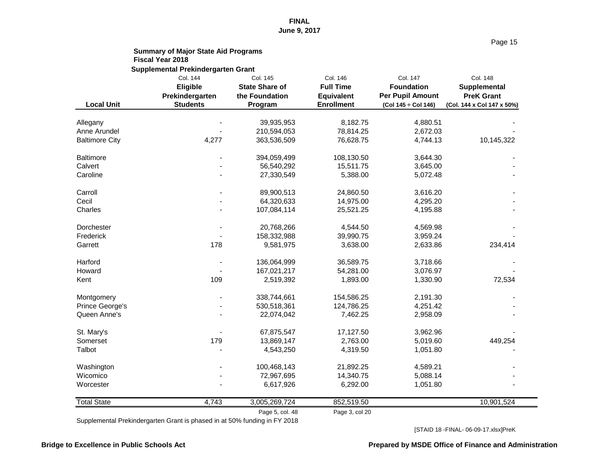|                                 | <b>Summary of Major State Aid Programs</b><br><b>Fiscal Year 2018</b> |                                                                |                                                                        |                                                                                 |                                                                                    |
|---------------------------------|-----------------------------------------------------------------------|----------------------------------------------------------------|------------------------------------------------------------------------|---------------------------------------------------------------------------------|------------------------------------------------------------------------------------|
|                                 | <b>Supplemental Prekindergarten Grant</b>                             |                                                                |                                                                        |                                                                                 |                                                                                    |
| <b>Local Unit</b>               | Col. 144<br><b>Eligible</b><br>Prekindergarten<br><b>Students</b>     | Col. 145<br><b>State Share of</b><br>the Foundation<br>Program | Col. 146<br><b>Full Time</b><br><b>Equivalent</b><br><b>Enrollment</b> | Col. 147<br><b>Foundation</b><br><b>Per Pupil Amount</b><br>(Col 145 ÷ Col 146) | <b>Col. 148</b><br>Supplemental<br><b>PreK Grant</b><br>(Col. 144 x Col 147 x 50%) |
|                                 |                                                                       |                                                                |                                                                        |                                                                                 |                                                                                    |
| Allegany<br><b>Anne Arundel</b> |                                                                       | 39,935,953<br>210,594,053                                      | 8,182.75<br>78,814.25                                                  | 4,880.51<br>2,672.03                                                            |                                                                                    |
| <b>Baltimore City</b>           | 4,277                                                                 | 363,536,509                                                    | 76,628.75                                                              | 4,744.13                                                                        | 10,145,322                                                                         |
| <b>Baltimore</b>                |                                                                       | 394,059,499                                                    | 108,130.50                                                             | 3,644.30                                                                        |                                                                                    |
| Calvert                         |                                                                       | 56,540,292                                                     | 15,511.75                                                              | 3,645.00                                                                        |                                                                                    |
| Caroline                        |                                                                       | 27,330,549                                                     | 5,388.00                                                               | 5,072.48                                                                        |                                                                                    |
| Carroll                         | $\overline{\phantom{a}}$                                              | 89,900,513                                                     | 24,860.50                                                              | 3,616.20                                                                        |                                                                                    |
| Cecil                           |                                                                       | 64,320,633                                                     | 14,975.00                                                              | 4,295.20                                                                        |                                                                                    |
| Charles                         |                                                                       | 107,084,114                                                    | 25,521.25                                                              | 4,195.88                                                                        |                                                                                    |
| Dorchester                      | $\blacksquare$                                                        | 20,768,266                                                     | 4,544.50                                                               | 4,569.98                                                                        |                                                                                    |
| Frederick                       |                                                                       | 158,332,988                                                    | 39,990.75                                                              | 3,959.24                                                                        |                                                                                    |
| Garrett                         | 178                                                                   | 9,581,975                                                      | 3,638.00                                                               | 2,633.86                                                                        | 234,414                                                                            |
| Harford                         |                                                                       | 136,064,999                                                    | 36,589.75                                                              | 3,718.66                                                                        |                                                                                    |
| Howard                          |                                                                       | 167,021,217                                                    | 54,281.00                                                              | 3,076.97                                                                        |                                                                                    |
| Kent                            | 109                                                                   | 2,519,392                                                      | 1,893.00                                                               | 1,330.90                                                                        | 72,534                                                                             |
| Montgomery                      |                                                                       | 338,744,661                                                    | 154,586.25                                                             | 2,191.30                                                                        |                                                                                    |
| Prince George's                 |                                                                       | 530,518,361                                                    | 124,786.25                                                             | 4,251.42                                                                        |                                                                                    |
| Queen Anne's                    |                                                                       | 22,074,042                                                     | 7,462.25                                                               | 2,958.09                                                                        |                                                                                    |
| St. Mary's                      |                                                                       | 67,875,547                                                     | 17,127.50                                                              | 3,962.96                                                                        |                                                                                    |
| Somerset                        | 179                                                                   | 13,869,147                                                     | 2,763.00                                                               | 5,019.60                                                                        | 449,254                                                                            |
| Talbot                          |                                                                       | 4,543,250                                                      | 4,319.50                                                               | 1,051.80                                                                        |                                                                                    |
| Washington                      |                                                                       | 100,468,143                                                    | 21,892.25                                                              | 4,589.21                                                                        |                                                                                    |
| Wicomico                        |                                                                       | 72,967,695                                                     | 14,340.75                                                              | 5,088.14                                                                        |                                                                                    |
| Worcester                       |                                                                       | 6,617,926                                                      | 6,292.00                                                               | 1,051.80                                                                        |                                                                                    |
| <b>Total State</b>              | 4,743                                                                 | 3,005,269,724                                                  | 852,519.50                                                             |                                                                                 | 10,901,524                                                                         |
|                                 |                                                                       | Page 5, col. 48                                                | Page 3, col 20                                                         |                                                                                 |                                                                                    |

Supplemental Prekindergarten Grant is phased in at 50% funding in FY 2018

[STAID 18 -FINAL- 06-09-17.xlsx]PreK

#### **Bridge to Excellence in Public Schools Act Prepared by MSDE Office of Finance and Administration**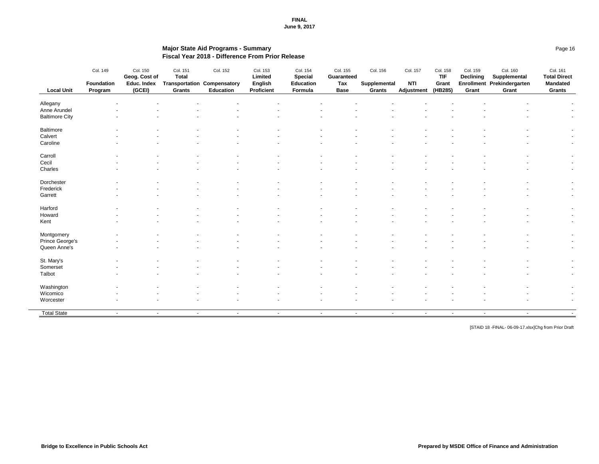## **Major State Aid Programs - Summary** Page 16 **Fiscal Year 2018 - Difference From Prior Release**

| <b>Local Unit</b>        | Col. 149<br><b>Foundation</b><br>Program | Col. 150<br>Geog. Cost of<br>Educ. Index<br>(GCEI) | Col. 151<br><b>Total</b><br><b>Grants</b> | Col. 152<br><b>Transportation Compensatory</b><br><b>Education</b> | Col. 153<br><b>Limited</b><br><b>English</b><br><b>Proficient</b> | Col. 154<br><b>Special</b><br><b>Education</b><br>Formula | Col. 155<br><b>Guaranteed</b><br><b>Tax</b><br><b>Base</b> | Col. 156<br><b>Supplemental</b><br><b>Grants</b> | Col. 157<br><b>NTI</b><br><b>Adjustment</b> | Col. 158<br><b>TIF</b><br>Grant<br>(HB285) | Col. 159<br><b>Declining</b><br>Grant | Col. 160<br>Supplemental<br>Enrollment Prekindergarten<br>Grant | Col. 161<br><b>Total Direct</b><br><b>Mandated</b><br><b>Grants</b> |
|--------------------------|------------------------------------------|----------------------------------------------------|-------------------------------------------|--------------------------------------------------------------------|-------------------------------------------------------------------|-----------------------------------------------------------|------------------------------------------------------------|--------------------------------------------------|---------------------------------------------|--------------------------------------------|---------------------------------------|-----------------------------------------------------------------|---------------------------------------------------------------------|
|                          |                                          |                                                    |                                           |                                                                    |                                                                   |                                                           |                                                            |                                                  |                                             |                                            |                                       |                                                                 |                                                                     |
| Allegany<br>Anne Arundel |                                          |                                                    |                                           |                                                                    |                                                                   |                                                           |                                                            |                                                  |                                             |                                            |                                       |                                                                 |                                                                     |
| <b>Baltimore City</b>    |                                          |                                                    |                                           |                                                                    |                                                                   |                                                           |                                                            |                                                  |                                             |                                            |                                       |                                                                 | $\sim$                                                              |
|                          |                                          |                                                    |                                           |                                                                    |                                                                   |                                                           |                                                            |                                                  |                                             |                                            |                                       |                                                                 |                                                                     |
| <b>Baltimore</b>         |                                          |                                                    |                                           |                                                                    |                                                                   |                                                           |                                                            |                                                  |                                             |                                            |                                       |                                                                 | $\sim$                                                              |
| Calvert                  |                                          |                                                    |                                           |                                                                    |                                                                   |                                                           |                                                            |                                                  |                                             |                                            |                                       |                                                                 | $\sim$ 100 $\mu$                                                    |
| Caroline                 |                                          |                                                    |                                           |                                                                    |                                                                   |                                                           |                                                            |                                                  |                                             |                                            |                                       |                                                                 | $\sim$                                                              |
| Carroll                  |                                          |                                                    |                                           |                                                                    |                                                                   |                                                           |                                                            |                                                  |                                             |                                            |                                       |                                                                 | $\sim$                                                              |
| Cecil                    |                                          |                                                    |                                           |                                                                    |                                                                   |                                                           |                                                            |                                                  |                                             |                                            |                                       |                                                                 | $\sim$                                                              |
| Charles                  |                                          |                                                    |                                           |                                                                    |                                                                   |                                                           |                                                            |                                                  |                                             |                                            |                                       |                                                                 | $\sim$                                                              |
| Dorchester               |                                          |                                                    |                                           |                                                                    |                                                                   |                                                           |                                                            |                                                  |                                             |                                            |                                       |                                                                 | $\sim$                                                              |
| Frederick                |                                          |                                                    |                                           |                                                                    |                                                                   |                                                           |                                                            |                                                  |                                             |                                            |                                       |                                                                 | $\sim$                                                              |
| Garrett                  |                                          |                                                    |                                           |                                                                    |                                                                   |                                                           |                                                            |                                                  |                                             |                                            |                                       |                                                                 | $\sim$                                                              |
| Harford                  |                                          |                                                    |                                           |                                                                    |                                                                   |                                                           |                                                            |                                                  |                                             |                                            |                                       |                                                                 | $\blacksquare$                                                      |
| Howard                   |                                          |                                                    |                                           |                                                                    |                                                                   |                                                           |                                                            |                                                  |                                             |                                            |                                       |                                                                 | $\sim$                                                              |
| Kent                     |                                          |                                                    |                                           |                                                                    |                                                                   |                                                           |                                                            |                                                  |                                             |                                            |                                       |                                                                 | $\sim$                                                              |
| Montgomery               |                                          |                                                    |                                           |                                                                    |                                                                   |                                                           |                                                            |                                                  |                                             |                                            |                                       |                                                                 |                                                                     |
| <b>Prince George's</b>   |                                          |                                                    |                                           |                                                                    |                                                                   |                                                           |                                                            |                                                  |                                             |                                            |                                       |                                                                 | $\sim$                                                              |
| Queen Anne's             |                                          |                                                    |                                           |                                                                    |                                                                   |                                                           |                                                            |                                                  |                                             |                                            |                                       |                                                                 | $\sim$                                                              |
|                          |                                          |                                                    |                                           |                                                                    |                                                                   |                                                           |                                                            |                                                  |                                             |                                            |                                       |                                                                 |                                                                     |
| St. Mary's               |                                          |                                                    |                                           |                                                                    |                                                                   |                                                           | $\sim$                                                     |                                                  |                                             |                                            |                                       |                                                                 |                                                                     |
| Somerset                 |                                          |                                                    |                                           |                                                                    |                                                                   |                                                           |                                                            |                                                  |                                             |                                            |                                       |                                                                 | $\blacksquare$                                                      |
| Talbot                   |                                          |                                                    |                                           |                                                                    |                                                                   |                                                           |                                                            |                                                  |                                             |                                            |                                       |                                                                 | $\overline{\phantom{a}}$                                            |
| Washington               |                                          |                                                    |                                           |                                                                    |                                                                   |                                                           |                                                            |                                                  |                                             |                                            |                                       |                                                                 | $\blacksquare$                                                      |
| Wicomico                 |                                          |                                                    |                                           |                                                                    |                                                                   |                                                           |                                                            |                                                  |                                             |                                            |                                       |                                                                 | $\blacksquare$                                                      |
| Worcester                |                                          |                                                    |                                           |                                                                    |                                                                   |                                                           |                                                            |                                                  |                                             |                                            |                                       |                                                                 | $\blacksquare$                                                      |
| <b>Total State</b>       | $\sim$                                   | $\sim$                                             | $\sim$                                    | $\sim$                                                             | $\sim$                                                            |                                                           | $\sim$ $\sim$<br>$\sim$                                    | $\sim$                                           | $\sim$                                      | $\sim$                                     | $\sim$                                | $\sim$                                                          |                                                                     |

[STAID 18 -FINAL- 06-09-17.xlsx]Chg from Prior Draft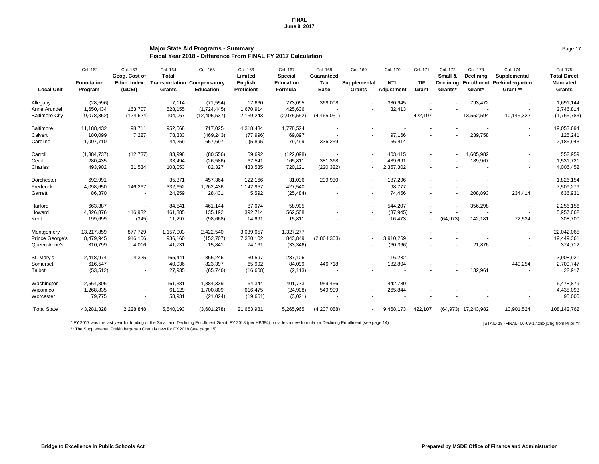## **Major State Aid Programs - Summary** Page 17 **Fiscal Year 2018 - Difference From FINAL FY 2017 Calculation**

\* FY 2017 was the last year for funding of the Small and Declining Enrollment Grant; FY 2018 (per HB684) provides a new formula for Declining Enrollment (see page 14) [STAID 18 -FINAL- 06-09-17.xlsx]Chg from Prior Yr \*\* The Supplemental Prekindergarten Grant is new for FY 2018 (see page 15)

|                       | Col. 162                     | Col. 163<br>Geog. Cost of    | Col. 164<br><b>Total</b>               | Col. 165                         | Col. 166<br><b>Limited</b>          | Col. 167<br><b>Special</b>  | Col. 168<br><b>Guaranteed</b> | Col. 169                      | Col. 170                        | Col. 171                 | Col. 172<br>Small &         | Col. 173<br><b>Declining</b> | Col. 174<br>Supplemental               | Col. 175<br><b>Total Direct</b>  |
|-----------------------|------------------------------|------------------------------|----------------------------------------|----------------------------------|-------------------------------------|-----------------------------|-------------------------------|-------------------------------|---------------------------------|--------------------------|-----------------------------|------------------------------|----------------------------------------|----------------------------------|
| <b>Local Unit</b>     | <b>Foundation</b><br>Program | <b>Educ. Index</b><br>(GCEI) | <b>Transportation</b><br><b>Grants</b> | Compensatory<br><b>Education</b> | <b>English</b><br><b>Proficient</b> | <b>Education</b><br>Formula | Tax<br><b>Base</b>            | Supplemental<br><b>Grants</b> | <b>NTI</b><br><b>Adjustment</b> | <b>TIF</b><br>Grant      | <b>Declining</b><br>Grants* | Grant*                       | Enrollment Prekindergarten<br>Grant ** | <b>Mandated</b><br><b>Grants</b> |
| Allegany              | (28, 596)                    |                              | 7,114                                  | (71, 554)                        | 17,660                              | 273,095                     | 369,008                       | $\sim$                        | 330,945                         |                          |                             | 793,472                      |                                        | 1,691,144                        |
| Anne Arundel          | 1,650,434                    | 163,707                      | 528,155                                | (1,724,445)                      | 1,670,914                           | 425,636                     |                               | $\overline{\phantom{a}}$      | 32,413                          |                          |                             | $\sim$                       |                                        | 2,746,814                        |
| <b>Baltimore City</b> | (9,078,352)                  | (124, 624)                   | 104,067                                | (12, 405, 537)                   | 2,159,243                           | (2,075,552)                 | (4,465,051)                   | $\blacksquare$                |                                 | 422,107                  |                             | $-13,552,594$                | 10,145,322                             | (1,765,783)                      |
| <b>Baltimore</b>      | 11,188,432                   | 98,711                       | 952,568                                | 717,025                          | 4,318,434                           | 1,778,524                   | $\sim$                        | $\overline{\phantom{a}}$      |                                 |                          |                             |                              | $\blacksquare$                         | 19,053,694                       |
| Calvert               | 180,099                      | 7,227                        | 78,333                                 | (469, 243)                       | (77, 996)                           | 69,897                      |                               | $\overline{\phantom{a}}$      | 97,166                          |                          |                             | 239,758                      | $\overline{\phantom{a}}$               | 125,241                          |
| Caroline              | 1,007,710                    |                              | 44,259                                 | 657,697                          | (5,895)                             | 79,499                      | 336,259                       | $\overline{\phantom{a}}$      | 66,414                          |                          |                             |                              | $\overline{\phantom{a}}$               | 2,185,943                        |
| Carroll               | (1, 384, 737)                | (12, 737)                    | 83,998                                 | (80, 556)                        | 59,692                              | (122,098)                   |                               | $\overline{\phantom{a}}$      | 403,415                         | $\sim$                   | $\sim 100$                  | 1,605,982                    | $\blacksquare$                         | 552,959                          |
| Cecil                 | 280,435                      | $\sim$                       | 33,494                                 | (26, 586)                        | 67,541                              | 165,811                     | 381,368                       | $\blacksquare$                | 439,691                         | $\sim$                   |                             | 189,967                      | $\blacksquare$                         | 1,531,721                        |
| Charles               | 493,902                      | 31,534                       | 108,053                                | 82,327                           | 433,535                             | 720,121                     | (220, 322)                    | $\blacksquare$                | 2,357,302                       |                          |                             |                              | $\blacksquare$                         | 4,006,452                        |
| Dorchester            | 692,991                      | $\overline{a}$               | 35,371                                 | 457,364                          | 122,166                             | 31,036                      | 299,930                       | $\overline{\phantom{a}}$      | 187,296                         |                          |                             |                              | $\blacksquare$                         | 1,826,154                        |
| Frederick             | 4,098,650                    | 146,267                      | 332,652                                | ,262,436                         | 1,142,957                           | 427,540                     | $\blacksquare$                | $\overline{\phantom{a}}$      | 98,777                          |                          |                             |                              |                                        | 7,509,279                        |
| Garrett               | 86,370                       |                              | 24,259                                 | 28,431                           | 5,592                               | (25, 484)                   | $\blacksquare$                | $\overline{\phantom{a}}$      | 74,456                          | $\overline{\phantom{0}}$ | $\sim$                      | 208,893                      | 234,414                                | 636,931                          |
| Harford               | 663,387                      |                              | 84,541                                 | 461,144                          | 87,674                              | 58,905                      |                               | $\sim$                        | 544,207                         |                          |                             | 356,298                      |                                        | 2,256,156                        |
| Howard                | 4,326,876                    | 116,932                      | 461,385                                | 135,192                          | 392,714                             | 562,508                     | $\blacksquare$                | $\sim$                        | (37, 945)                       |                          |                             |                              |                                        | 5,957,662                        |
| Kent                  | 199,699                      | (345)                        | 11,297                                 | (98, 668)                        | 14,691                              | 15,811                      | $\blacksquare$                | $\blacksquare$                | 16,473                          |                          | (64, 973)                   | 142,181                      | 72,534                                 | 308,700                          |
| Montgomery            | 13,217,859                   | 877,729                      | 1,157,003                              | 2,422,540                        | 3,039,657                           | 1,327,277                   |                               |                               |                                 |                          |                             |                              | $\sim$                                 | 22,042,065                       |
| Prince George's       | 8,479,945                    | 916,106                      | 936,160                                | (152, 707)                       | 7,380,102                           | 843,849                     | (2,864,363)                   | $\overline{\phantom{a}}$      | 3,910,269                       | $\blacksquare$           |                             |                              | $\sim$                                 | 19,449,361                       |
| Queen Anne's          | 310,799                      | 4,016                        | 41,731                                 | 15,841                           | 74,161                              | (33, 346)                   |                               | $\overline{\phantom{a}}$      | (60, 366)                       | $\blacksquare$           |                             | 21,876                       | $\overline{\phantom{a}}$               | 374,712                          |
| St. Mary's            | 2,418,974                    | 4,325                        | 165,441                                | 866,246                          | 50,597                              | 287,106                     |                               |                               | 116,232                         |                          |                             |                              |                                        | 3,908,921                        |
| Somerset              | 616,547                      |                              | 40,936                                 | 823,397                          | 65,992                              | 84,099                      | 446,718                       | $\blacksquare$                | 182,804                         | $\sim$                   |                             |                              | 449,254                                | 2,709,747                        |
| Talbot                | (53, 512)                    | $\sim$                       | 27,935                                 | (65, 746)                        | (16, 608)                           | (2, 113)                    |                               | $\overline{\phantom{a}}$      |                                 |                          |                             | 132,961                      |                                        | 22,917                           |
| Washington            | 2,564,806                    | $\sim$                       | 161,381                                | 1,884,339                        | 64,344                              | 401,773                     | 959,456                       | $\sim$                        | 442,780                         | $\sim$                   |                             |                              | $\blacksquare$                         | 6,478,879                        |
| Wicomico              | 1,268,835                    | $\sim$                       | 61,129                                 | 1,700,809                        | 616,475                             | (24,908)                    | 549,909                       | $\blacksquare$                | 265,844                         | $\overline{\phantom{0}}$ |                             |                              | $\blacksquare$                         | 4,438,093                        |
| Worcester             | 79,775                       | $\sim$                       | 58,931                                 | (21, 024)                        | (19,661)                            | (3,021)                     |                               | $\overline{\phantom{a}}$      |                                 |                          |                             |                              |                                        | 95,000                           |
| <b>Total State</b>    | 43,281,328                   | 2,228,848                    | 5,540,193                              | (3,601,278)                      | 21,663,981                          | 5,265,965                   | (4,207,088)                   | $\overline{\phantom{a}}$      | 9,468,173                       | 422,107                  |                             | $(64,973)$ 17,243,982        | 10,901,524                             | 108,142,762                      |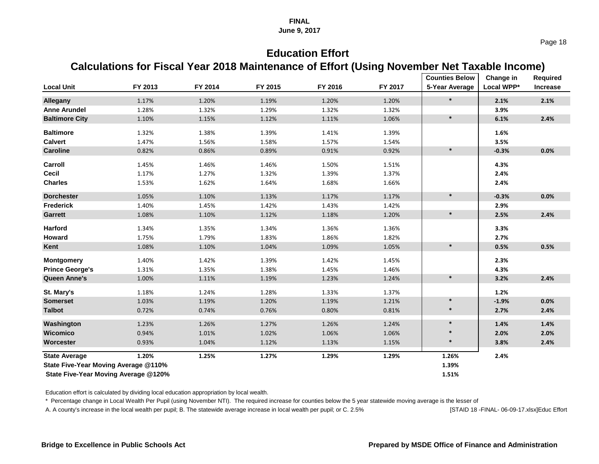Page 18

# **Education Effort**

## **Calculations for Fiscal Year 2018 Maintenance of Effort (Using November Net Taxable Income)**

|                                             |         |         |         |         |         | <b>Counties Below</b> | Change in  | <b>Required</b> |
|---------------------------------------------|---------|---------|---------|---------|---------|-----------------------|------------|-----------------|
| <b>Local Unit</b>                           | FY 2013 | FY 2014 | FY 2015 | FY 2016 | FY 2017 | 5-Year Average        | Local WPP* | <b>Increase</b> |
| <b>Allegany</b>                             | 1.17%   | 1.20%   | 1.19%   | 1.20%   | 1.20%   | $\ast$                | 2.1%       | 2.1%            |
| <b>Anne Arundel</b>                         | 1.28%   | 1.32%   | 1.29%   | 1.32%   | 1.32%   |                       | 3.9%       |                 |
| <b>Baltimore City</b>                       | 1.10%   | 1.15%   | 1.12%   | 1.11%   | 1.06%   | $\ast$                | 6.1%       | 2.4%            |
| <b>Baltimore</b>                            | 1.32%   | 1.38%   | 1.39%   | 1.41%   | 1.39%   |                       | 1.6%       |                 |
| <b>Calvert</b>                              | 1.47%   | 1.56%   | 1.58%   | 1.57%   | 1.54%   |                       | 3.5%       |                 |
| <b>Caroline</b>                             | 0.82%   | 0.86%   | 0.89%   | 0.91%   | 0.92%   | $\ast$                | $-0.3%$    | 0.0%            |
| Carroll                                     | 1.45%   | 1.46%   | 1.46%   | 1.50%   | 1.51%   |                       | 4.3%       |                 |
| <b>Cecil</b>                                | 1.17%   | 1.27%   | 1.32%   | 1.39%   | 1.37%   |                       | 2.4%       |                 |
| <b>Charles</b>                              | 1.53%   | 1.62%   | 1.64%   | 1.68%   | 1.66%   |                       | 2.4%       |                 |
| <b>Dorchester</b>                           | 1.05%   | 1.10%   | 1.13%   | 1.17%   | 1.17%   | $\ast$                | $-0.3%$    | 0.0%            |
| Frederick                                   | 1.40%   | 1.45%   | 1.42%   | 1.43%   | 1.42%   |                       | 2.9%       |                 |
| <b>Garrett</b>                              | 1.08%   | 1.10%   | 1.12%   | 1.18%   | 1.20%   | $\ast$                | 2.5%       | 2.4%            |
| <b>Harford</b>                              | 1.34%   | 1.35%   | 1.34%   | 1.36%   | 1.36%   |                       | 3.3%       |                 |
| <b>Howard</b>                               | 1.75%   | 1.79%   | 1.83%   | 1.86%   | 1.82%   |                       | 2.7%       |                 |
| Kent                                        | 1.08%   | 1.10%   | 1.04%   | 1.09%   | 1.05%   | $\ast$                | 0.5%       | 0.5%            |
| <b>Montgomery</b>                           | 1.40%   | 1.42%   | 1.39%   | 1.42%   | 1.45%   |                       | 2.3%       |                 |
| <b>Prince George's</b>                      | 1.31%   | 1.35%   | 1.38%   | 1.45%   | 1.46%   |                       | 4.3%       |                 |
| <b>Queen Anne's</b>                         | 1.00%   | 1.11%   | 1.19%   | 1.23%   | 1.24%   | $\ast$                | 3.2%       | 2.4%            |
| St. Mary's                                  | 1.18%   | 1.24%   | 1.28%   | 1.33%   | 1.37%   |                       | 1.2%       |                 |
| <b>Somerset</b>                             | 1.03%   | 1.19%   | 1.20%   | 1.19%   | 1.21%   | $\ast$                | $-1.9%$    | 0.0%            |
| <b>Talbot</b>                               | 0.72%   | 0.74%   | 0.76%   | 0.80%   | 0.81%   | $\ast$                | 2.7%       | 2.4%            |
| Washington                                  | 1.23%   | 1.26%   | 1.27%   | 1.26%   | 1.24%   | $\ast$                | 1.4%       | 1.4%            |
| <b>Wicomico</b>                             | 0.94%   | 1.01%   | 1.02%   | 1.06%   | 1.06%   |                       | 2.0%       | 2.0%            |
| <b>Worcester</b>                            | 0.93%   | 1.04%   | 1.12%   | 1.13%   | 1.15%   | $\ast$                | 3.8%       | 2.4%            |
| <b>State Average</b>                        | 1.20%   | 1.25%   | 1.27%   | 1.29%   | 1.29%   | 1.26%                 | 2.4%       |                 |
| <b>State Five-Year Moving Average @110%</b> |         |         |         |         |         | 1.39%                 |            |                 |
| <b>State Five-Year Moving Average @120%</b> |         |         |         |         |         |                       |            |                 |

Education effort is calculated by dividing local education appropriation by local wealth.

\* Percentage change in Local Wealth Per Pupil (using November NTI). The required increase for counties below the 5 year statewide moving average is the lesser of

A. A county's increase in the local wealth per pupil; B. The statewide average increase in local wealth per pupil; or C. 2.5% [STAID 18 -FINAL- 06-09-17.xlsx]Educ Effort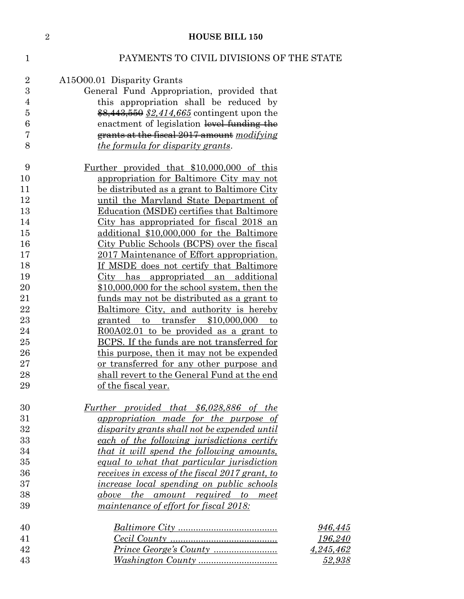|                | $\sqrt{2}$ | <b>HOUSE BILL 150</b>                                                                        |           |
|----------------|------------|----------------------------------------------------------------------------------------------|-----------|
| $\mathbf{1}$   |            | PAYMENTS TO CIVIL DIVISIONS OF THE STATE                                                     |           |
| $\overline{2}$ |            | A15O00.01 Disparity Grants                                                                   |           |
| $\overline{3}$ |            | General Fund Appropriation, provided that                                                    |           |
| 4              |            | this appropriation shall be reduced by                                                       |           |
| 5              |            | \$8,443,550 \$2,414,665 contingent upon the                                                  |           |
| 6              |            | enactment of legislation level funding the                                                   |           |
| 7              |            | grants at the fiscal 2017 amount modifying                                                   |           |
| 8              |            | <i>the formula for disparity grants.</i>                                                     |           |
| 9              |            | <u>Further provided that \$10,000,000 of this</u>                                            |           |
| 10             |            | appropriation for Baltimore City may not                                                     |           |
| 11             |            | be distributed as a grant to Baltimore City                                                  |           |
| 12             |            | until the Maryland State Department of                                                       |           |
| 13             |            | Education (MSDE) certifies that Baltimore                                                    |           |
| 14<br>15       |            | City has appropriated for fiscal 2018 an<br>additional \$10,000,000 for the Baltimore        |           |
| 16             |            | City Public Schools (BCPS) over the fiscal                                                   |           |
| 17             |            | 2017 Maintenance of Effort appropriation.                                                    |           |
| 18             |            | If MSDE does not certify that Baltimore                                                      |           |
| 19             |            | <u>City has appropriated an additional</u>                                                   |           |
| 20             |            | \$10,000,000 for the school system, then the                                                 |           |
| 21             |            | <u>funds</u> may not be distributed as a grant to                                            |           |
| 22             |            | Baltimore City, and authority is hereby                                                      |           |
| 23             |            | granted to transfer \$10,000,000<br>to                                                       |           |
| 24             |            | R00A02.01 to be provided as a grant to                                                       |           |
| 25             |            | BCPS. If the funds are not transferred for                                                   |           |
| 26<br>27       |            | this purpose, then it may not be expended                                                    |           |
| 28             |            | or transferred for any other purpose and<br>shall revert to the General Fund at the end      |           |
| 29             |            | of the fiscal year.                                                                          |           |
|                |            |                                                                                              |           |
| 30<br>31       |            | Further provided that \$6,028,886 of the                                                     |           |
| 32             |            | appropriation made for the purpose of<br><i>disparity grants shall not be expended until</i> |           |
| 33             |            | each of the following jurisdictions certify                                                  |           |
| 34             |            | that it will spend the following amounts,                                                    |           |
| 35             |            | equal to what that particular jurisdiction                                                   |           |
| 36             |            | receives in excess of the fiscal 2017 grant, to                                              |           |
| 37             |            | <i>increase local spending on public schools</i>                                             |           |
| 38             |            | above the amount required to meet                                                            |           |
| 39             |            | maintenance of effort for fiscal 2018:                                                       |           |
| 40             |            |                                                                                              | 946,445   |
| 41             |            |                                                                                              | 196,240   |
| 42             |            |                                                                                              | 4,245,462 |
| 43             |            |                                                                                              | 52,938    |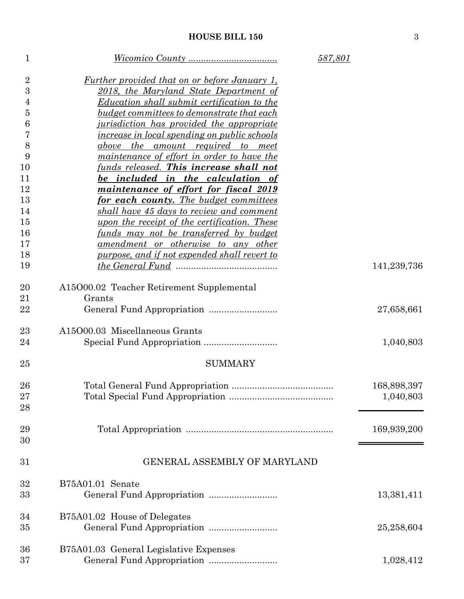| $\mathbf{1}$     |                                                         | 587,801     |
|------------------|---------------------------------------------------------|-------------|
| $\overline{2}$   | <u>Further provided that on or before January 1,</u>    |             |
| 3                | 2018, the Maryland State Department of                  |             |
| 4                | Education shall submit certification to the             |             |
| $\overline{5}$   | <u>budget committees to demonstrate that each</u>       |             |
| $\boldsymbol{6}$ | <i><u>iurisdiction has provided the appropriate</u></i> |             |
| 7                | <i>increase in local spending on public schools</i>     |             |
| 8                | above the amount required to meet                       |             |
| 9                | <i>maintenance of effort in order to have the</i>       |             |
| 10               | funds released. This increase shall not                 |             |
| 11               | be included in the calculation of                       |             |
| 12               | maintenance of effort for fiscal 2019                   |             |
| 13               | for each county. The budget committees                  |             |
| 14               | shall have 45 days to review and comment                |             |
| 15               | <u>upon the receipt of the certification. These</u>     |             |
| 16               | <u>funds may not be transferred by budget</u>           |             |
| 17               | amendment or otherwise to any other                     |             |
| 18               | <u>purpose, and if not expended shall revert to</u>     |             |
| 19               |                                                         | 141,239,736 |
| 20               | A15O00.02 Teacher Retirement Supplemental               |             |
| 21               | Grants                                                  |             |
| 22               |                                                         | 27,658,661  |
| 23               | A15O00.03 Miscellaneous Grants                          |             |
| 24               |                                                         | 1,040,803   |
| 25               | <b>SUMMARY</b>                                          |             |
| 26               |                                                         | 168,898,397 |
| 27               |                                                         | 1,040,803   |
| 28               |                                                         |             |
| 29               |                                                         | 169,939,200 |
| 30               |                                                         |             |
| 31               | <b>GENERAL ASSEMBLY OF MARYLAND</b>                     |             |
| 32               | B75A01.01 Senate                                        |             |
| 33               |                                                         | 13,381,411  |
| 34               | B75A01.02 House of Delegates                            |             |
| 35               |                                                         | 25,258,604  |
| 36               | B75A01.03 General Legislative Expenses                  |             |
| 37               |                                                         | 1,028,412   |